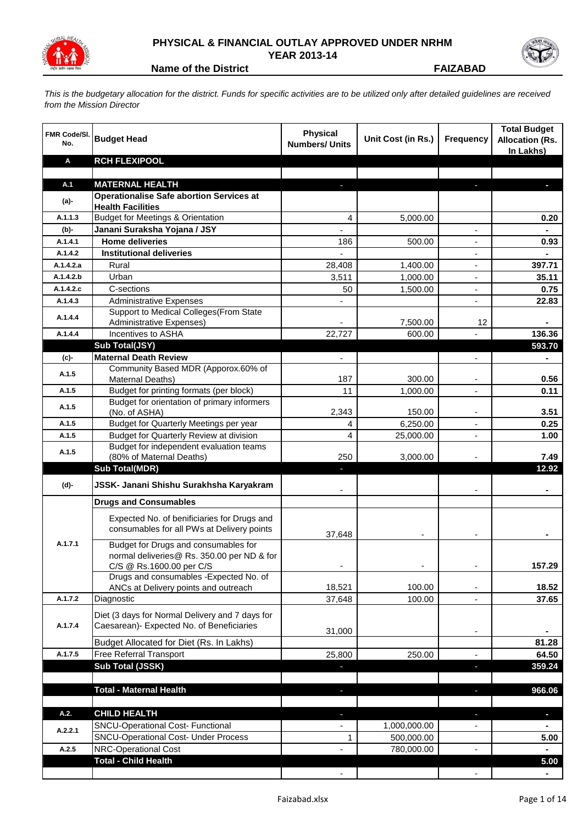

## **PHYSICAL & FINANCIAL OUTLAY APPROVED UNDER NRHM YEAR 2013-14**



**Name of the District <b>FAIZABAD** 

*This is the budgetary allocation for the district. Funds for specific activities are to be utilized only after detailed guidelines are received from the Mission Director*

| FMR Code/SI.<br>No. | <b>Budget Head</b>                                                                        | <b>Physical</b><br><b>Numbers/ Units</b> | Unit Cost (in Rs.) | <b>Frequency</b>         | <b>Total Budget</b><br><b>Allocation (Rs.</b><br>In Lakhs) |
|---------------------|-------------------------------------------------------------------------------------------|------------------------------------------|--------------------|--------------------------|------------------------------------------------------------|
| Α                   | <b>RCH FLEXIPOOL</b>                                                                      |                                          |                    |                          |                                                            |
|                     |                                                                                           |                                          |                    |                          |                                                            |
| A.1                 | <b>MATERNAL HEALTH</b>                                                                    |                                          |                    |                          |                                                            |
| (a)-                | <b>Operationalise Safe abortion Services at</b><br><b>Health Facilities</b>               |                                          |                    |                          |                                                            |
| A.1.1.3             | <b>Budget for Meetings &amp; Orientation</b>                                              | 4                                        | 5.000.00           |                          | 0.20                                                       |
| (b)-                | Janani Suraksha Yojana / JSY                                                              |                                          |                    |                          |                                                            |
| A.1.4.1             | <b>Home deliveries</b>                                                                    | 186                                      | 500.00             |                          | 0.93                                                       |
| A.1.4.2             | <b>Institutional deliveries</b>                                                           |                                          |                    |                          |                                                            |
| A.1.4.2.a           | Rural                                                                                     | 28,408                                   | 1,400.00           | ٠                        | 397.71                                                     |
| A.1.4.2.b           | Urban                                                                                     | 3,511                                    | 1,000.00           | $\overline{\phantom{a}}$ | 35.11                                                      |
| A.1.4.2.c           | C-sections                                                                                | 50                                       | 1,500.00           | $\overline{\phantom{a}}$ | 0.75                                                       |
| A.1.4.3             | <b>Administrative Expenses</b>                                                            |                                          |                    | $\overline{\phantom{m}}$ | 22.83                                                      |
| A.1.4.4             | Support to Medical Colleges (From State                                                   |                                          |                    |                          |                                                            |
| A.1.4.4             | Administrative Expenses)<br>Incentives to ASHA                                            |                                          | 7,500.00<br>600.00 | 12                       | 136.36                                                     |
|                     | Sub Total(JSY)                                                                            | 22,727                                   |                    |                          | 593.70                                                     |
| (c)-                | <b>Maternal Death Review</b>                                                              | $\blacksquare$                           |                    | $\overline{a}$           |                                                            |
|                     | Community Based MDR (Apporox.60% of                                                       |                                          |                    |                          |                                                            |
| A.1.5               | <b>Maternal Deaths)</b>                                                                   | 187                                      | 300.00             |                          | 0.56                                                       |
| A.1.5               | Budget for printing formats (per block)                                                   | 11                                       | 1,000.00           |                          | 0.11                                                       |
| A.1.5               | Budget for orientation of primary informers<br>(No. of ASHA)                              | 2,343                                    | 150.00             |                          | 3.51                                                       |
| A.1.5               | Budget for Quarterly Meetings per year                                                    | 4                                        | 6,250.00           |                          | 0.25                                                       |
| A.1.5               | Budget for Quarterly Review at division                                                   | 4                                        | 25,000.00          | ٠                        | 1.00                                                       |
|                     | Budget for independent evaluation teams                                                   |                                          |                    |                          |                                                            |
| A.1.5               | (80% of Maternal Deaths)                                                                  | 250                                      | 3,000.00           |                          | 7.49                                                       |
|                     | <b>Sub Total(MDR)</b>                                                                     | E.                                       |                    |                          | 12.92                                                      |
| (d)-                | JSSK- Janani Shishu Surakhsha Karyakram                                                   |                                          |                    |                          |                                                            |
|                     | <b>Drugs and Consumables</b>                                                              |                                          |                    |                          |                                                            |
|                     | Expected No. of benificiaries for Drugs and<br>consumables for all PWs at Delivery points | 37,648                                   |                    |                          |                                                            |
| A.1.7.1             | Budget for Drugs and consumables for<br>normal deliveries@ Rs. 350.00 per ND & for        |                                          |                    |                          |                                                            |
|                     | C/S @ Rs.1600.00 per C/S<br>Drugs and consumables - Expected No. of                       |                                          |                    |                          | 157.29                                                     |
|                     | ANCs at Delivery points and outreach                                                      | 18,521                                   | 100.00             |                          | 18.52                                                      |
| A.1.7.2             | Diagnostic                                                                                | 37,648                                   | 100.00             | $\overline{\phantom{0}}$ | 37.65                                                      |
|                     | Diet (3 days for Normal Delivery and 7 days for                                           |                                          |                    |                          |                                                            |
| A.1.7.4             | Caesarean)- Expected No. of Beneficiaries                                                 |                                          |                    |                          |                                                            |
|                     |                                                                                           | 31,000                                   |                    | ٠                        |                                                            |
|                     | Budget Allocated for Diet (Rs. In Lakhs)                                                  |                                          |                    |                          | 81.28                                                      |
| A.1.7.5             | Free Referral Transport<br>Sub Total (JSSK)                                               | 25,800                                   | 250.00             |                          | 64.50                                                      |
|                     |                                                                                           |                                          |                    |                          | 359.24                                                     |
|                     | <b>Total - Maternal Health</b>                                                            |                                          |                    |                          | 966.06                                                     |
|                     |                                                                                           |                                          |                    |                          |                                                            |
| A.2.                | <b>CHILD HEALTH</b>                                                                       | J,                                       |                    | ı                        | ٠                                                          |
|                     | SNCU-Operational Cost- Functional                                                         |                                          | 1,000,000.00       |                          |                                                            |
| A.2.2.1             | <b>SNCU-Operational Cost- Under Process</b>                                               | 1                                        | 500,000.00         |                          | 5.00                                                       |
| A.2.5               | <b>NRC-Operational Cost</b>                                                               |                                          | 780,000.00         |                          | $\blacksquare$                                             |
|                     | <b>Total - Child Health</b>                                                               |                                          |                    |                          | 5.00                                                       |
|                     |                                                                                           |                                          |                    |                          |                                                            |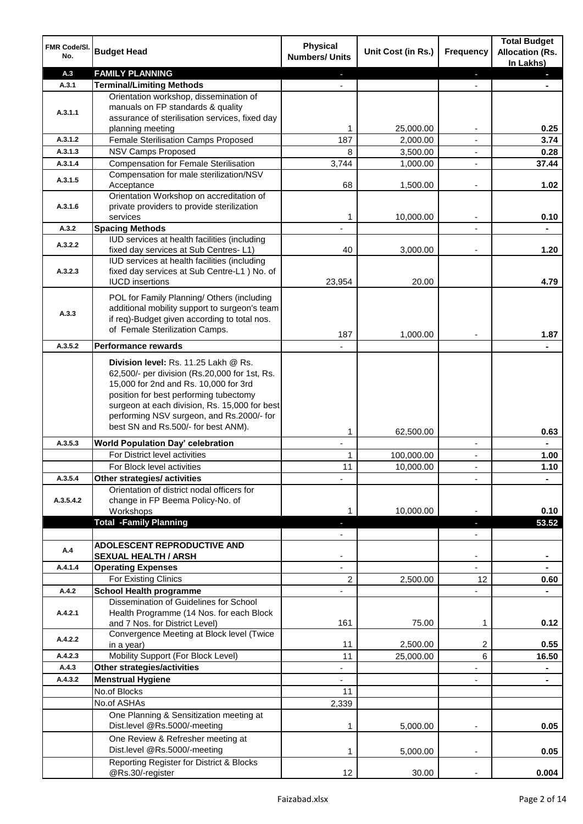| FMR Code/SI.<br>No. | <b>Budget Head</b>                                                                           | <b>Physical</b><br><b>Numbers/ Units</b> | Unit Cost (in Rs.) | Frequency                | <b>Total Budget</b><br><b>Allocation (Rs.</b><br>In Lakhs) |
|---------------------|----------------------------------------------------------------------------------------------|------------------------------------------|--------------------|--------------------------|------------------------------------------------------------|
| A.3                 | <b>FAMILY PLANNING</b>                                                                       |                                          |                    | ٠                        |                                                            |
| A.3.1               | <b>Terminal/Limiting Methods</b>                                                             |                                          |                    |                          |                                                            |
|                     | Orientation workshop, dissemination of                                                       |                                          |                    |                          |                                                            |
| A.3.1.1             | manuals on FP standards & quality<br>assurance of sterilisation services, fixed day          |                                          |                    |                          |                                                            |
|                     | planning meeting                                                                             | 1                                        | 25,000.00          |                          | 0.25                                                       |
| A.3.1.2             | Female Sterilisation Camps Proposed                                                          | 187                                      | 2,000.00           |                          | 3.74                                                       |
| A.3.1.3             | <b>NSV Camps Proposed</b>                                                                    | 8                                        | 3,500.00           | $\blacksquare$           | 0.28                                                       |
| A.3.1.4             | <b>Compensation for Female Sterilisation</b>                                                 | 3,744                                    | 1,000.00           | $\blacksquare$           | 37.44                                                      |
| A.3.1.5             | Compensation for male sterilization/NSV                                                      |                                          |                    |                          |                                                            |
|                     | Acceptance<br>Orientation Workshop on accreditation of                                       | 68                                       | 1,500.00           | $\overline{a}$           | 1.02                                                       |
| A.3.1.6             | private providers to provide sterilization                                                   |                                          |                    |                          |                                                            |
|                     | services                                                                                     | 1                                        | 10,000.00          | $\blacksquare$           | 0.10                                                       |
| A.3.2               | <b>Spacing Methods</b>                                                                       |                                          |                    |                          |                                                            |
| A.3.2.2             | IUD services at health facilities (including                                                 |                                          |                    |                          |                                                            |
|                     | fixed day services at Sub Centres-L1)                                                        | 40                                       | 3,000.00           |                          | 1.20                                                       |
| A.3.2.3             | IUD services at health facilities (including<br>fixed day services at Sub Centre-L1 ) No. of |                                          |                    |                          |                                                            |
|                     | <b>IUCD</b> insertions                                                                       | 23,954                                   | 20.00              |                          | 4.79                                                       |
|                     | POL for Family Planning/ Others (including                                                   |                                          |                    |                          |                                                            |
|                     | additional mobility support to surgeon's team                                                |                                          |                    |                          |                                                            |
| A.3.3               | if req)-Budget given according to total nos.                                                 |                                          |                    |                          |                                                            |
|                     | of Female Sterilization Camps.                                                               | 187                                      | 1,000.00           |                          | 1.87                                                       |
| A.3.5.2             | <b>Performance rewards</b>                                                                   |                                          |                    |                          |                                                            |
|                     | Division level: Rs. 11.25 Lakh @ Rs.                                                         |                                          |                    |                          |                                                            |
|                     | 62,500/- per division (Rs.20,000 for 1st, Rs.                                                |                                          |                    |                          |                                                            |
|                     | 15,000 for 2nd and Rs. 10,000 for 3rd<br>position for best performing tubectomy              |                                          |                    |                          |                                                            |
|                     | surgeon at each division, Rs. 15,000 for best                                                |                                          |                    |                          |                                                            |
|                     | performing NSV surgeon, and Rs.2000/- for                                                    |                                          |                    |                          |                                                            |
|                     | best SN and Rs.500/- for best ANM).                                                          | 1                                        | 62,500.00          |                          | 0.63                                                       |
| A.3.5.3             | <b>World Population Day' celebration</b>                                                     | $\mathbf{r}$                             |                    | $\blacksquare$           |                                                            |
|                     | For District level activities                                                                | 1                                        | 100,000.00         | $\overline{\phantom{a}}$ | 1.00                                                       |
|                     | For Block level activities                                                                   | 11                                       | 10,000.00          | $\blacksquare$           | 1.10                                                       |
| A.3.5.4             | Other strategies/ activities                                                                 |                                          |                    |                          |                                                            |
|                     | Orientation of district nodal officers for                                                   |                                          |                    |                          |                                                            |
| A.3.5.4.2           | change in FP Beema Policy-No. of<br>Workshops                                                |                                          | 10,000.00          |                          | 0.10                                                       |
|                     | <b>Total -Family Planning</b>                                                                |                                          |                    |                          | 53.52                                                      |
|                     |                                                                                              |                                          |                    |                          |                                                            |
| A.4                 | <b>ADOLESCENT REPRODUCTIVE AND</b>                                                           |                                          |                    |                          |                                                            |
|                     | <b>SEXUAL HEALTH / ARSH</b>                                                                  |                                          |                    |                          |                                                            |
| A.4.1.4             | <b>Operating Expenses</b>                                                                    |                                          |                    |                          |                                                            |
| A.4.2               | For Existing Clinics<br><b>School Health programme</b>                                       | 2                                        | 2,500.00           | 12                       | 0.60                                                       |
|                     | Dissemination of Guidelines for School                                                       |                                          |                    |                          |                                                            |
| A.4.2.1             | Health Programme (14 Nos. for each Block                                                     |                                          |                    |                          |                                                            |
|                     | and 7 Nos. for District Level)                                                               | 161                                      | 75.00              | 1                        | 0.12                                                       |
| A.4.2.2             | Convergence Meeting at Block level (Twice<br>in a year)                                      | 11                                       | 2,500.00           | 2                        | 0.55                                                       |
| A.4.2.3             | Mobility Support (For Block Level)                                                           | 11                                       | 25,000.00          | 6                        | 16.50                                                      |
| A.4.3               | Other strategies/activities                                                                  |                                          |                    |                          |                                                            |
| A.4.3.2             | <b>Menstrual Hygiene</b>                                                                     |                                          |                    |                          |                                                            |
|                     | No.of Blocks                                                                                 | 11                                       |                    |                          |                                                            |
|                     | No.of ASHAs                                                                                  | 2,339                                    |                    |                          |                                                            |
|                     | One Planning & Sensitization meeting at                                                      |                                          |                    |                          |                                                            |
|                     | Dist.level @Rs.5000/-meeting                                                                 | 1                                        | 5,000.00           |                          | 0.05                                                       |
|                     | One Review & Refresher meeting at<br>Dist.level @Rs.5000/-meeting                            | 1                                        | 5,000.00           |                          | 0.05                                                       |
|                     | Reporting Register for District & Blocks                                                     |                                          |                    |                          |                                                            |
|                     | @Rs.30/-register                                                                             | 12                                       | 30.00              |                          | 0.004                                                      |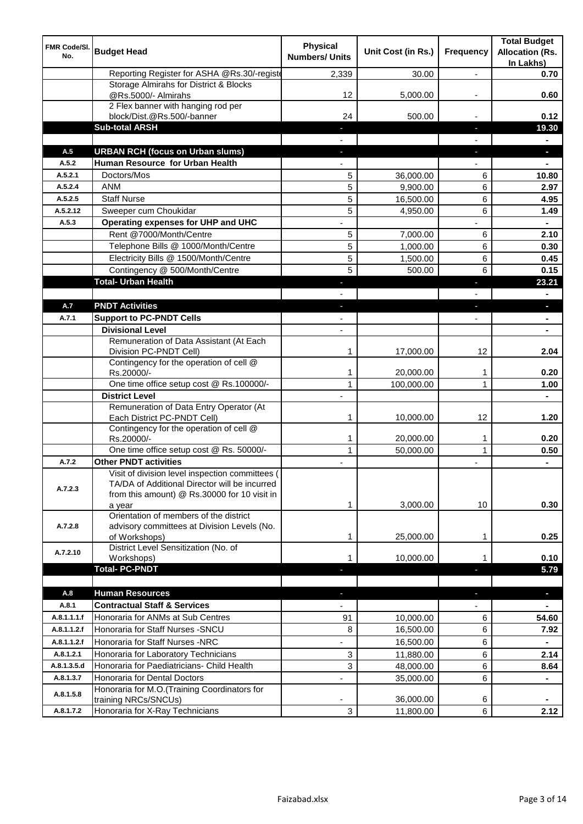| FMR Code/SI.<br>No. | <b>Budget Head</b>                                                                                                                               | <b>Physical</b><br><b>Numbers/ Units</b> | Unit Cost (in Rs.)     | Frequency                | <b>Total Budget</b><br><b>Allocation (Rs.</b><br>In Lakhs) |
|---------------------|--------------------------------------------------------------------------------------------------------------------------------------------------|------------------------------------------|------------------------|--------------------------|------------------------------------------------------------|
|                     | Reporting Register for ASHA @Rs.30/-registe                                                                                                      | 2,339                                    | 30.00                  | $\overline{a}$           | 0.70                                                       |
|                     | Storage Almirahs for District & Blocks<br>@Rs.5000/- Almirahs                                                                                    | 12                                       | 5,000.00               |                          | 0.60                                                       |
|                     | 2 Flex banner with hanging rod per                                                                                                               |                                          |                        |                          |                                                            |
|                     | block/Dist.@Rs.500/-banner                                                                                                                       | 24                                       | 500.00                 |                          | 0.12                                                       |
|                     | <b>Sub-total ARSH</b>                                                                                                                            |                                          |                        | ÷.                       | 19.30                                                      |
| A.5                 | <b>URBAN RCH (focus on Urban slums)</b>                                                                                                          |                                          |                        |                          | $\blacksquare$                                             |
| A.5.2               | Human Resource for Urban Health                                                                                                                  |                                          |                        | r.                       |                                                            |
| A.5.2.1             | Doctors/Mos                                                                                                                                      | 5                                        | 36,000.00              | 6                        | 10.80                                                      |
| A.5.2.4             | <b>ANM</b>                                                                                                                                       | 5                                        | 9,900.00               | 6                        | 2.97                                                       |
| A.5.2.5             | <b>Staff Nurse</b>                                                                                                                               | 5                                        | 16,500.00              | 6                        | 4.95                                                       |
| A.5.2.12            | Sweeper cum Choukidar                                                                                                                            | 5                                        | 4,950.00               | 6                        | 1.49                                                       |
| A.5.3               | Operating expenses for UHP and UHC                                                                                                               |                                          |                        |                          |                                                            |
|                     | Rent @7000/Month/Centre                                                                                                                          | 5                                        | 7,000.00               | 6                        | 2.10                                                       |
|                     | Telephone Bills @ 1000/Month/Centre                                                                                                              | 5                                        | 1,000.00               | 6                        | 0.30                                                       |
|                     | Electricity Bills @ 1500/Month/Centre                                                                                                            | 5                                        | 1,500.00               | 6                        | 0.45                                                       |
|                     | Contingency @ 500/Month/Centre                                                                                                                   | 5                                        | 500.00                 | 6                        | 0.15                                                       |
|                     | <b>Total- Urban Health</b>                                                                                                                       | L.                                       |                        | J,                       | 23.21                                                      |
|                     |                                                                                                                                                  |                                          |                        |                          |                                                            |
| A.7                 | <b>PNDT Activities</b>                                                                                                                           | ÷,                                       |                        | J,                       | $\blacksquare$                                             |
| A.7.1               | <b>Support to PC-PNDT Cells</b>                                                                                                                  |                                          |                        | $\overline{\phantom{0}}$ | $\blacksquare$                                             |
|                     | <b>Divisional Level</b>                                                                                                                          | $\overline{\phantom{a}}$                 |                        |                          | $\blacksquare$                                             |
|                     | Remuneration of Data Assistant (At Each<br>Division PC-PNDT Cell)                                                                                | 1                                        | 17,000.00              | 12                       | 2.04                                                       |
|                     | Contingency for the operation of cell @<br>Rs.20000/-                                                                                            | 1                                        | 20,000.00              | 1                        | 0.20                                                       |
|                     | One time office setup cost @ Rs.100000/-                                                                                                         | $\mathbf{1}$                             | 100,000.00             | 1                        | 1.00                                                       |
|                     | <b>District Level</b>                                                                                                                            |                                          |                        |                          | $\blacksquare$                                             |
|                     | Remuneration of Data Entry Operator (At<br>Each District PC-PNDT Cell)                                                                           | 1                                        | 10,000.00              | 12                       | 1.20                                                       |
|                     | Contingency for the operation of cell @                                                                                                          |                                          |                        |                          |                                                            |
|                     | Rs.20000/-<br>One time office setup cost @ Rs. 50000/-                                                                                           | $\mathbf{1}$<br>$\mathbf{1}$             | 20,000.00<br>50,000.00 | 1<br>$\mathbf{1}$        | 0.20<br>0.50                                               |
| A.7.2               | <b>Other PNDT activities</b>                                                                                                                     |                                          |                        | ٠                        | $\blacksquare$                                             |
| A.7.2.3             | Visit of division level inspection committees (<br>TA/DA of Additional Director will be incurred<br>from this amount) @ Rs.30000 for 10 visit in |                                          |                        |                          |                                                            |
| A.7.2.8             | a year<br>Orientation of members of the district<br>advisory committees at Division Levels (No.<br>of Workshops)                                 | 1<br>1                                   | 3,000.00<br>25,000.00  | 10<br>1                  | 0.30<br>0.25                                               |
|                     | District Level Sensitization (No. of                                                                                                             |                                          |                        |                          |                                                            |
| A.7.2.10            | Workshops)                                                                                                                                       | 1                                        | 10,000.00              | 1                        | 0.10                                                       |
|                     | <b>Total-PC-PNDT</b>                                                                                                                             |                                          |                        | ٠                        | 5.79                                                       |
| A.8                 | <b>Human Resources</b>                                                                                                                           | ٠                                        |                        | ٠                        | $\blacksquare$                                             |
| A.8.1               | <b>Contractual Staff &amp; Services</b>                                                                                                          | $\overline{\phantom{0}}$                 |                        | $\overline{\phantom{0}}$ | $\blacksquare$                                             |
| A.8.1.1.1.f         | Honoraria for ANMs at Sub Centres                                                                                                                | 91                                       | 10,000.00              | 6                        | 54.60                                                      |
| A.8.1.1.2.f         | Honoraria for Staff Nurses - SNCU                                                                                                                | 8                                        | 16,500.00              | 6                        | 7.92                                                       |
| A.8.1.1.2.f         | Honoraria for Staff Nurses -NRC                                                                                                                  | ä,                                       | 16,500.00              | 6                        | $\blacksquare$                                             |
| A.8.1.2.1           | Honoraria for Laboratory Technicians                                                                                                             | 3                                        | 11,880.00              | 6                        | 2.14                                                       |
| A.8.1.3.5.d         | Honoraria for Paediatricians- Child Health                                                                                                       | 3                                        | 48,000.00              | 6                        | 8.64                                                       |
| A.8.1.3.7           | Honoraria for Dental Doctors                                                                                                                     |                                          | 35,000.00              | 6                        |                                                            |
| A.8.1.5.8           | Honoraria for M.O.(Training Coordinators for<br>training NRCs/SNCUs)                                                                             |                                          | 36,000.00              | 6                        |                                                            |
| A.8.1.7.2           | Honoraria for X-Ray Technicians                                                                                                                  | 3                                        | 11,800.00              | 6                        | 2.12                                                       |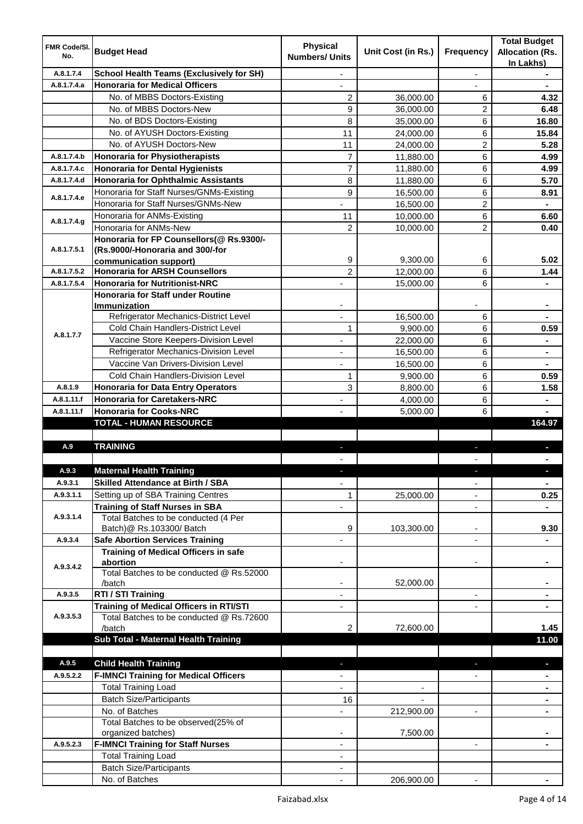| <b>FMR Code/SI.</b><br>No. | <b>Budget Head</b>                                                               | <b>Physical</b><br><b>Numbers/ Units</b> | Unit Cost (in Rs.)       | Frequency                | <b>Total Budget</b><br><b>Allocation (Rs.</b><br>In Lakhs) |
|----------------------------|----------------------------------------------------------------------------------|------------------------------------------|--------------------------|--------------------------|------------------------------------------------------------|
| A.8.1.7.4                  | <b>School Health Teams (Exclusively for SH)</b>                                  |                                          |                          | ÷.                       |                                                            |
| A.8.1.7.4.a                | <b>Honoraria for Medical Officers</b>                                            |                                          |                          |                          |                                                            |
|                            | No. of MBBS Doctors-Existing                                                     | $\overline{c}$                           | 36,000.00                | 6                        | 4.32                                                       |
|                            | No. of MBBS Doctors-New                                                          | 9                                        | 36,000.00                | 2                        | 6.48                                                       |
|                            | No. of BDS Doctors-Existing                                                      | 8                                        | 35,000.00                | 6                        | 16.80                                                      |
|                            | No. of AYUSH Doctors-Existing                                                    | 11                                       | 24,000.00                | 6                        | 15.84                                                      |
|                            | No. of AYUSH Doctors-New                                                         | 11                                       | 24,000.00                | 2                        | 5.28                                                       |
| A.8.1.7.4.b                | <b>Honoraria for Physiotherapists</b>                                            | 7                                        | 11,880.00                | 6                        | 4.99                                                       |
| A.8.1.7.4.c                | <b>Honoraria for Dental Hygienists</b>                                           | $\overline{7}$                           | 11,880.00                | 6                        | 4.99                                                       |
| A.8.1.7.4.d                | <b>Honoraria for Ophthalmic Assistants</b>                                       | 8                                        | 11,880.00                | 6                        | 5.70                                                       |
| A.8.1.7.4.e                | Honoraria for Staff Nurses/GNMs-Existing                                         | 9                                        | 16,500.00                | 6                        | 8.91                                                       |
|                            | Honoraria for Staff Nurses/GNMs-New                                              |                                          | 16,500.00                | $\overline{2}$           |                                                            |
| A.8.1.7.4.g                | Honoraria for ANMs-Existing                                                      | 11                                       | 10,000.00                | 6                        | 6.60                                                       |
|                            | Honoraria for ANMs-New                                                           | $\overline{2}$                           | 10,000.00                | $\overline{2}$           | 0.40                                                       |
|                            | Honoraria for FP Counsellors(@ Rs.9300/-                                         |                                          |                          |                          |                                                            |
| A.8.1.7.5.1                | (Rs.9000/-Honoraria and 300/-for                                                 |                                          |                          |                          |                                                            |
|                            | communication support)                                                           | 9                                        | 9,300.00                 | 6                        | 5.02                                                       |
| A.8.1.7.5.2                | <b>Honoraria for ARSH Counsellors</b>                                            | 2                                        | 12,000.00                | 6                        | 1.44                                                       |
| A.8.1.7.5.4                | <b>Honoraria for Nutritionist-NRC</b>                                            | ÷,                                       | 15,000.00                | 6                        | $\blacksquare$                                             |
|                            | <b>Honoraria for Staff under Routine</b>                                         |                                          |                          |                          |                                                            |
|                            | <b>Immunization</b><br>Refrigerator Mechanics-District Level                     |                                          | 16,500.00                | 6                        |                                                            |
|                            | Cold Chain Handlers-District Level                                               | 1                                        |                          | 6                        | 0.59                                                       |
| A.8.1.7.7                  | Vaccine Store Keepers-Division Level                                             |                                          | 9,900.00                 | 6                        | $\blacksquare$                                             |
|                            | Refrigerator Mechanics-Division Level                                            |                                          | 22,000.00                |                          |                                                            |
|                            | Vaccine Van Drivers-Division Level                                               |                                          | 16,500.00                | 6<br>6                   | $\blacksquare$                                             |
|                            | Cold Chain Handlers-Division Level                                               | 1                                        | 16,500.00                | 6                        | 0.59                                                       |
| A.8.1.9                    |                                                                                  | 3                                        | 9,900.00                 | 6                        |                                                            |
| A.8.1.11.f                 | <b>Honoraria for Data Entry Operators</b><br><b>Honoraria for Caretakers-NRC</b> |                                          | 8,800.00                 |                          | 1.58                                                       |
| A.8.1.11.f                 | <b>Honoraria for Cooks-NRC</b>                                                   | ٠                                        | 4,000.00<br>5,000.00     | 6<br>6                   |                                                            |
|                            | <b>TOTAL - HUMAN RESOURCE</b>                                                    |                                          |                          |                          | 164.97                                                     |
|                            |                                                                                  |                                          |                          |                          |                                                            |
| A.9                        | <b>TRAINING</b>                                                                  | ٠                                        |                          | ٠                        | D                                                          |
|                            |                                                                                  |                                          |                          |                          |                                                            |
| A.9.3                      | <b>Maternal Health Training</b>                                                  |                                          |                          |                          |                                                            |
| A.9.3.1                    | <b>Skilled Attendance at Birth / SBA</b>                                         | ÷,                                       |                          | $\overline{\phantom{a}}$ | $\blacksquare$                                             |
| A.9.3.1.1                  | Setting up of SBA Training Centres                                               | 1                                        | 25,000.00                | ٠                        | 0.25                                                       |
|                            | <b>Training of Staff Nurses in SBA</b>                                           | $\overline{\phantom{0}}$                 |                          | $\overline{\phantom{a}}$ |                                                            |
| A.9.3.1.4                  | Total Batches to be conducted (4 Per                                             |                                          |                          |                          |                                                            |
|                            | Batch)@ Rs.103300/ Batch                                                         | 9                                        | 103,300.00               | ٠                        | 9.30                                                       |
| A.9.3.4                    | <b>Safe Abortion Services Training</b>                                           |                                          |                          |                          |                                                            |
|                            | <b>Training of Medical Officers in safe</b>                                      |                                          |                          |                          |                                                            |
| A.9.3.4.2                  | abortion                                                                         |                                          |                          | -                        |                                                            |
|                            | Total Batches to be conducted @ Rs.52000                                         |                                          |                          |                          |                                                            |
|                            | /batch                                                                           | $\overline{\phantom{a}}$                 | 52,000.00                |                          | $\blacksquare$                                             |
| A.9.3.5                    | RTI / STI Training                                                               | $\blacksquare$                           |                          | ٠                        | $\blacksquare$                                             |
|                            | <b>Training of Medical Officers in RTI/STI</b>                                   | $\overline{\phantom{a}}$                 |                          | L,                       | $\blacksquare$                                             |
| A.9.3.5.3                  | Total Batches to be conducted @ Rs.72600                                         |                                          |                          |                          |                                                            |
|                            | /batch                                                                           | 2                                        | 72,600.00                |                          | 1.45                                                       |
|                            | Sub Total - Maternal Health Training                                             |                                          |                          |                          | 11.00                                                      |
|                            |                                                                                  |                                          |                          |                          |                                                            |
| A.9.5                      | <b>Child Health Training</b>                                                     |                                          |                          |                          | ٠                                                          |
| A.9.5.2.2                  | <b>F-IMNCI Training for Medical Officers</b>                                     |                                          |                          |                          |                                                            |
|                            | <b>Total Training Load</b>                                                       | $\overline{\phantom{0}}$                 | $\overline{\phantom{a}}$ |                          | $\blacksquare$                                             |
|                            | <b>Batch Size/Participants</b>                                                   | 16                                       |                          |                          | ٠                                                          |
|                            | No. of Batches                                                                   | $\overline{\phantom{0}}$                 | 212,900.00               | ۰                        | ٠                                                          |
|                            | Total Batches to be observed(25% of                                              |                                          |                          |                          |                                                            |
| A.9.5.2.3                  | organized batches)                                                               |                                          | 7,500.00                 |                          |                                                            |
|                            | <b>F-IMNCI Training for Staff Nurses</b><br><b>Total Training Load</b>           | ٠                                        |                          | $\blacksquare$           |                                                            |
|                            | <b>Batch Size/Participants</b>                                                   | ٠                                        |                          |                          |                                                            |
|                            | No. of Batches                                                                   |                                          |                          |                          |                                                            |
|                            |                                                                                  |                                          | 206,900.00               |                          |                                                            |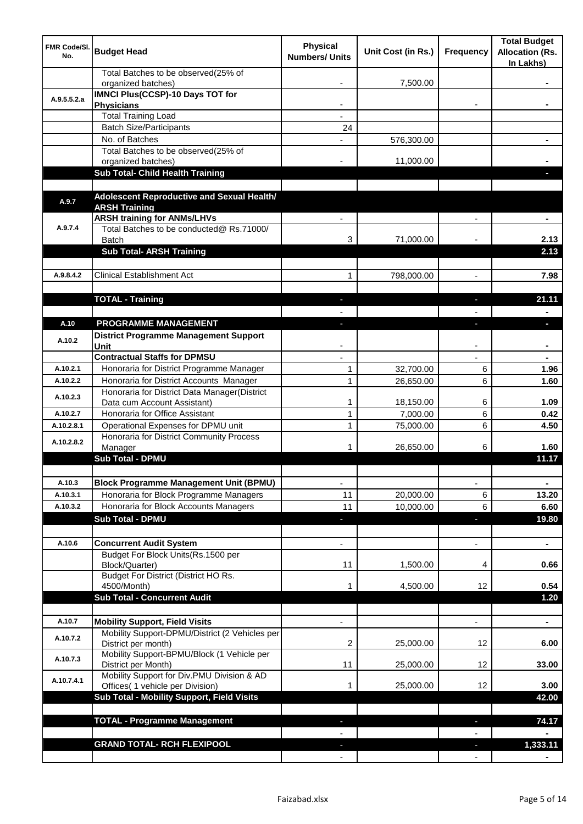| <b>FMR Code/SI.</b><br>No. | <b>Budget Head</b>                                                             | <b>Physical</b><br><b>Numbers/ Units</b> | Unit Cost (in Rs.) | Frequency                | <b>Total Budget</b><br><b>Allocation (Rs.</b><br>In Lakhs) |
|----------------------------|--------------------------------------------------------------------------------|------------------------------------------|--------------------|--------------------------|------------------------------------------------------------|
|                            | Total Batches to be observed(25% of<br>organized batches)                      |                                          | 7,500.00           |                          |                                                            |
| A.9.5.5.2.a                | <b>IMNCI Plus(CCSP)-10 Days TOT for</b>                                        |                                          |                    |                          |                                                            |
|                            | <b>Physicians</b>                                                              |                                          |                    |                          |                                                            |
|                            | <b>Total Training Load</b>                                                     |                                          |                    |                          |                                                            |
|                            | <b>Batch Size/Participants</b><br>No. of Batches                               | 24                                       |                    |                          |                                                            |
|                            | Total Batches to be observed(25% of                                            |                                          | 576,300.00         |                          |                                                            |
|                            | organized batches)                                                             |                                          | 11,000.00          |                          |                                                            |
|                            | Sub Total- Child Health Training                                               |                                          |                    |                          |                                                            |
|                            |                                                                                |                                          |                    |                          |                                                            |
| A.9.7                      | Adolescent Reproductive and Sexual Health/                                     |                                          |                    |                          |                                                            |
|                            | <b>ARSH Training</b>                                                           |                                          |                    |                          |                                                            |
| A.9.7.4                    | <b>ARSH training for ANMs/LHVs</b><br>Total Batches to be conducted@ Rs.71000/ |                                          |                    |                          |                                                            |
|                            | <b>Batch</b>                                                                   | 3                                        | 71,000.00          |                          | 2.13                                                       |
|                            | <b>Sub Total- ARSH Training</b>                                                |                                          |                    |                          | 2.13                                                       |
|                            |                                                                                |                                          |                    |                          |                                                            |
| A.9.8.4.2                  | <b>Clinical Establishment Act</b>                                              | 1                                        | 798,000.00         | $\overline{a}$           | 7.98                                                       |
|                            |                                                                                |                                          |                    |                          |                                                            |
|                            | <b>TOTAL - Training</b>                                                        |                                          |                    |                          | 21.11                                                      |
|                            |                                                                                |                                          |                    |                          |                                                            |
| A.10                       | PROGRAMME MANAGEMENT                                                           |                                          |                    |                          | o.                                                         |
| A.10.2                     | <b>District Programme Management Support</b>                                   |                                          |                    |                          |                                                            |
|                            | Unit                                                                           |                                          |                    |                          |                                                            |
|                            | <b>Contractual Staffs for DPMSU</b>                                            |                                          |                    |                          |                                                            |
| A.10.2.1                   | Honoraria for District Programme Manager                                       | 1                                        | 32,700.00          | 6                        | 1.96                                                       |
| A.10.2.2                   | Honoraria for District Accounts Manager                                        | $\mathbf{1}$                             | 26,650.00          | 6                        | 1.60                                                       |
| A.10.2.3                   | Honoraria for District Data Manager(District<br>Data cum Account Assistant)    | 1                                        | 18,150.00          | 6                        | 1.09                                                       |
| A.10.2.7                   | Honoraria for Office Assistant                                                 | 1                                        | 7,000.00           | 6                        | 0.42                                                       |
| A.10.2.8.1                 | Operational Expenses for DPMU unit                                             | 1                                        | 75,000.00          | 6                        | 4.50                                                       |
|                            | Honoraria for District Community Process                                       |                                          |                    |                          |                                                            |
| A.10.2.8.2                 | Manager                                                                        | 1                                        | 26,650.00          | 6                        | 1.60                                                       |
|                            | <b>Sub Total - DPMU</b>                                                        |                                          |                    |                          | 11.17                                                      |
|                            |                                                                                |                                          |                    |                          |                                                            |
| A.10.3                     | <b>Block Programme Management Unit (BPMU)</b>                                  | $\overline{\phantom{a}}$                 |                    | $\overline{\phantom{a}}$ | $\blacksquare$                                             |
| A.10.3.1                   | Honoraria for Block Programme Managers                                         | 11                                       | 20,000.00          | 6                        | 13.20                                                      |
| A.10.3.2                   | Honoraria for Block Accounts Managers                                          | 11                                       | 10,000.00          | 6                        | 6.60                                                       |
|                            | <b>Sub Total - DPMU</b>                                                        | ٠                                        |                    | ٠                        | 19.80                                                      |
|                            |                                                                                |                                          |                    |                          |                                                            |
| A.10.6                     | <b>Concurrent Audit System</b><br>Budget For Block Units(Rs. 1500 per          |                                          |                    | $\overline{\phantom{0}}$ | $\blacksquare$                                             |
|                            | Block/Quarter)                                                                 | 11                                       | 1,500.00           | 4                        | 0.66                                                       |
|                            | Budget For District (District HO Rs.                                           |                                          |                    |                          |                                                            |
|                            | 4500/Month)                                                                    |                                          | 4,500.00           | 12                       | 0.54                                                       |
|                            | <b>Sub Total - Concurrent Audit</b>                                            |                                          |                    |                          | 1.20                                                       |
|                            |                                                                                |                                          |                    |                          |                                                            |
| A.10.7                     | <b>Mobility Support, Field Visits</b>                                          |                                          |                    | $\overline{a}$           | ä,                                                         |
| A.10.7.2                   | Mobility Support-DPMU/District (2 Vehicles per<br>District per month)          | 2                                        | 25,000.00          | 12                       | 6.00                                                       |
| A.10.7.3                   | Mobility Support-BPMU/Block (1 Vehicle per<br>District per Month)              | 11                                       | 25,000.00          | 12                       | 33.00                                                      |
| A.10.7.4.1                 | Mobility Support for Div.PMU Division & AD<br>Offices( 1 vehicle per Division) | 1                                        | 25,000.00          | 12                       | 3.00                                                       |
|                            | Sub Total - Mobility Support, Field Visits                                     |                                          |                    |                          | 42.00                                                      |
|                            |                                                                                |                                          |                    |                          |                                                            |
|                            | <b>TOTAL - Programme Management</b>                                            |                                          |                    | ı.                       | 74.17                                                      |
|                            |                                                                                |                                          |                    |                          |                                                            |
|                            | <b>GRAND TOTAL- RCH FLEXIPOOL</b>                                              |                                          |                    | a,                       | 1,333.11                                                   |
|                            |                                                                                |                                          |                    |                          |                                                            |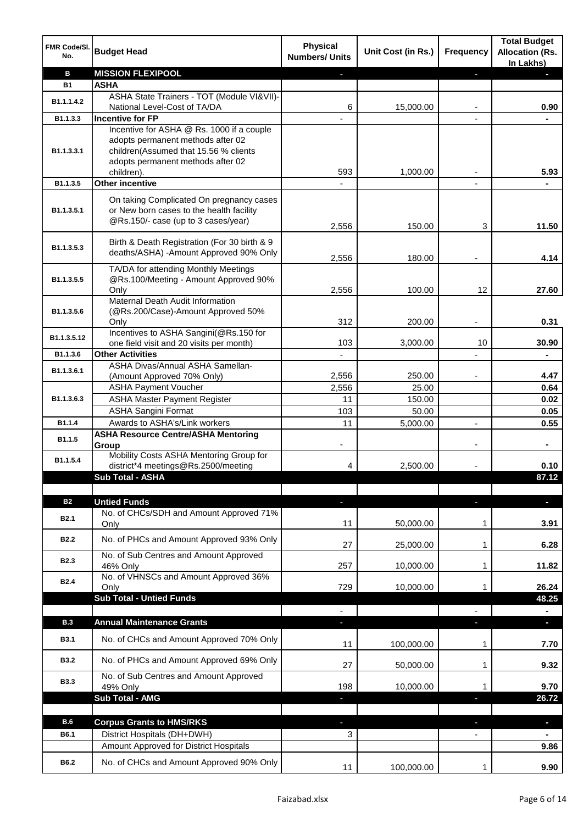| FMR Code/SI.<br>No. | <b>Budget Head</b>                                                                                                                                           | <b>Physical</b><br><b>Numbers/ Units</b> | Unit Cost (in Rs.) | <b>Frequency</b> | <b>Total Budget</b><br><b>Allocation (Rs.</b><br>In Lakhs) |
|---------------------|--------------------------------------------------------------------------------------------------------------------------------------------------------------|------------------------------------------|--------------------|------------------|------------------------------------------------------------|
| B                   | <b>MISSION FLEXIPOOL</b>                                                                                                                                     |                                          |                    | P.               |                                                            |
| <b>B1</b>           | <b>ASHA</b>                                                                                                                                                  |                                          |                    |                  |                                                            |
| B1.1.1.4.2          | ASHA State Trainers - TOT (Module VI&VII)-                                                                                                                   |                                          |                    |                  |                                                            |
|                     | National Level-Cost of TA/DA                                                                                                                                 | 6                                        | 15,000.00          |                  | 0.90                                                       |
| B1.1.3.3            | <b>Incentive for FP</b>                                                                                                                                      |                                          |                    |                  |                                                            |
| B1.1.3.3.1          | Incentive for ASHA @ Rs. 1000 if a couple<br>adopts permanent methods after 02<br>children(Assumed that 15.56 % clients<br>adopts permanent methods after 02 |                                          |                    |                  |                                                            |
|                     | children).                                                                                                                                                   | 593                                      | 1,000.00           |                  | 5.93                                                       |
| B1.1.3.5            | Other incentive                                                                                                                                              |                                          |                    |                  |                                                            |
| B1.1.3.5.1          | On taking Complicated On pregnancy cases<br>or New born cases to the health facility<br>@Rs.150/- case (up to 3 cases/year)                                  |                                          |                    |                  |                                                            |
|                     |                                                                                                                                                              | 2,556                                    | 150.00             | 3                | 11.50                                                      |
| B1.1.3.5.3          | Birth & Death Registration (For 30 birth & 9<br>deaths/ASHA) -Amount Approved 90% Only                                                                       | 2,556                                    | 180.00             |                  | 4.14                                                       |
|                     | TA/DA for attending Monthly Meetings                                                                                                                         |                                          |                    |                  |                                                            |
| B1.1.3.5.5          | @Rs.100/Meeting - Amount Approved 90%                                                                                                                        |                                          |                    |                  |                                                            |
|                     | Only<br>Maternal Death Audit Information                                                                                                                     | 2,556                                    | 100.00             | 12               | 27.60                                                      |
| B1.1.3.5.6          | (@Rs.200/Case)-Amount Approved 50%<br>Only                                                                                                                   | 312                                      | 200.00             |                  | 0.31                                                       |
| B1.1.3.5.12         | Incentives to ASHA Sangini(@Rs.150 for                                                                                                                       |                                          |                    |                  |                                                            |
|                     | one field visit and 20 visits per month)                                                                                                                     | 103                                      | 3,000.00           | 10               | 30.90                                                      |
| B1.1.3.6            | <b>Other Activities</b>                                                                                                                                      | $\overline{\phantom{a}}$                 |                    |                  |                                                            |
| B1.1.3.6.1          | ASHA Divas/Annual ASHA Samellan-                                                                                                                             |                                          |                    |                  |                                                            |
|                     | (Amount Approved 70% Only)                                                                                                                                   | 2,556                                    | 250.00             |                  | 4.47                                                       |
|                     | <b>ASHA Payment Voucher</b>                                                                                                                                  | 2,556                                    | 25.00              |                  | 0.64                                                       |
| B1.1.3.6.3          | <b>ASHA Master Payment Register</b>                                                                                                                          | 11                                       | 150.00             |                  | 0.02                                                       |
|                     | <b>ASHA Sangini Format</b>                                                                                                                                   | 103                                      | 50.00              |                  | 0.05                                                       |
| B1.1.4              | Awards to ASHA's/Link workers                                                                                                                                | 11                                       | 5,000.00           | $\overline{a}$   | 0.55                                                       |
| B1.1.5              | <b>ASHA Resource Centre/ASHA Mentoring</b><br>Group                                                                                                          |                                          |                    |                  | $\blacksquare$                                             |
| B1.1.5.4            | Mobility Costs ASHA Mentoring Group for<br>district*4 meetings@Rs.2500/meeting                                                                               | 4                                        | 2,500.00           |                  | 0.10                                                       |
|                     | <b>Sub Total - ASHA</b>                                                                                                                                      |                                          |                    |                  | 87.12                                                      |
|                     |                                                                                                                                                              |                                          |                    |                  |                                                            |
| <b>B2</b>           | <b>Untied Funds</b>                                                                                                                                          | ٠                                        |                    | J,               | $\blacksquare$                                             |
| <b>B2.1</b>         | No. of CHCs/SDH and Amount Approved 71%<br>Only                                                                                                              | 11                                       | 50,000.00          | 1                | 3.91                                                       |
| <b>B2.2</b>         | No. of PHCs and Amount Approved 93% Only                                                                                                                     | 27                                       | 25,000.00          | 1                | 6.28                                                       |
| <b>B2.3</b>         | No. of Sub Centres and Amount Approved<br>46% Only                                                                                                           | 257                                      | 10,000.00          | 1                | 11.82                                                      |
| <b>B2.4</b>         | No. of VHNSCs and Amount Approved 36%<br>Only                                                                                                                | 729                                      | 10,000.00          | 1                | 26.24                                                      |
|                     | <b>Sub Total - Untied Funds</b>                                                                                                                              |                                          |                    |                  | 48.25                                                      |
|                     |                                                                                                                                                              |                                          |                    |                  |                                                            |
| <b>B.3</b>          | <b>Annual Maintenance Grants</b>                                                                                                                             |                                          |                    |                  |                                                            |
| <b>B3.1</b>         | No. of CHCs and Amount Approved 70% Only                                                                                                                     | 11                                       | 100,000.00         | 1                | 7.70                                                       |
| <b>B3.2</b>         | No. of PHCs and Amount Approved 69% Only                                                                                                                     | 27                                       | 50,000.00          | 1                | 9.32                                                       |
| <b>B3.3</b>         | No. of Sub Centres and Amount Approved<br>49% Only                                                                                                           | 198                                      | 10,000.00          | 1                | 9.70                                                       |
|                     | <b>Sub Total - AMG</b>                                                                                                                                       | ٠                                        |                    | J,               | 26.72                                                      |
| <b>B.6</b>          |                                                                                                                                                              |                                          |                    |                  |                                                            |
|                     | <b>Corpus Grants to HMS/RKS</b>                                                                                                                              |                                          |                    |                  | $\blacksquare$                                             |
| B6.1                | District Hospitals (DH+DWH)                                                                                                                                  | 3                                        |                    |                  |                                                            |
|                     | Amount Approved for District Hospitals                                                                                                                       |                                          |                    |                  | 9.86                                                       |
| <b>B6.2</b>         | No. of CHCs and Amount Approved 90% Only                                                                                                                     | 11                                       | 100,000.00         | 1                | 9.90                                                       |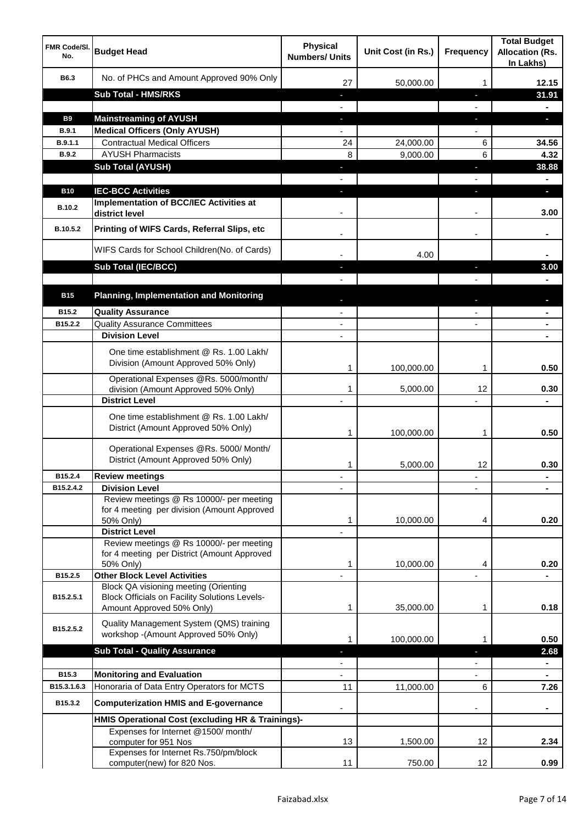| No. of PHCs and Amount Approved 90% Only<br>B6.3<br>12.15<br>27<br>50,000.00<br>1<br><b>Sub Total - HMS/RKS</b><br>31.91<br>٠<br>J,<br><b>Mainstreaming of AYUSH</b><br><b>B9</b><br>a.<br>o,<br>T<br><b>Medical Officers (Only AYUSH)</b><br>B.9.1<br><b>Contractual Medical Officers</b><br>B.9.1.1<br>24<br>24,000.00<br>6<br>34.56<br><b>AYUSH Pharmacists</b><br><b>B.9.2</b><br>8<br>9,000.00<br>6<br>4.32<br><b>Sub Total (AYUSH)</b><br>38.88<br>J,<br>J,<br><b>IEC-BCC Activities</b><br><b>B10</b><br>н<br>ı.<br><b>Implementation of BCC/IEC Activities at</b><br><b>B.10.2</b><br>3.00<br>district level<br>Printing of WIFS Cards, Referral Slips, etc<br>B.10.5.2<br>$\blacksquare$<br>WIFS Cards for School Children(No. of Cards)<br>4.00<br>Sub Total (IEC/BCC)<br>3.00<br>ı<br><b>Planning, Implementation and Monitoring</b><br><b>B15</b><br>B15.2<br><b>Quality Assurance</b><br><b>Quality Assurance Committees</b><br>B15.2.2<br>$\overline{\phantom{a}}$<br>$\blacksquare$<br><b>Division Level</b><br>$\blacksquare$<br>۰<br>One time establishment @ Rs. 1.00 Lakh/<br>Division (Amount Approved 50% Only)<br>100,000.00<br>0.50<br>1<br>1<br>Operational Expenses @Rs. 5000/month/<br>0.30<br>division (Amount Approved 50% Only)<br>5,000.00<br>12<br>1<br><b>District Level</b><br>$\blacksquare$<br>One time establishment @ Rs. 1.00 Lakh/<br>District (Amount Approved 50% Only)<br>100,000.00<br>0.50<br>1<br>1<br>Operational Expenses @Rs. 5000/ Month/<br>District (Amount Approved 50% Only)<br>12<br>0.30<br>5,000.00<br>1<br>B15.2.4<br><b>Review meetings</b><br>٠<br>٠<br><b>Division Level</b><br>B15.2.4.2<br>Review meetings @ Rs 10000/- per meeting<br>for 4 meeting per division (Amount Approved<br>10,000.00<br>0.20<br>1<br>4<br>50% Only)<br><b>District Level</b><br>Review meetings @ Rs 10000/- per meeting<br>for 4 meeting per District (Amount Approved<br>10,000.00<br>0.20<br>50% Only)<br>1<br>4<br><b>Other Block Level Activities</b><br>B15.2.5<br>Block QA visioning meeting (Orienting<br><b>Block Officials on Facility Solutions Levels-</b><br>B15.2.5.1<br>Amount Approved 50% Only)<br>0.18<br>1<br>35,000.00<br>1<br>Quality Management System (QMS) training<br>B15.2.5.2<br>workshop -(Amount Approved 50% Only)<br>100,000.00<br>0.50<br>1<br>1<br><b>Sub Total - Quality Assurance</b><br>2.68<br>$\blacksquare$<br>B15.3<br><b>Monitoring and Evaluation</b><br>Honoraria of Data Entry Operators for MCTS<br>B15.3.1.6.3<br>6<br>11<br>11,000.00<br>7.26<br>B15.3.2<br><b>Computerization HMIS and E-governance</b><br>HMIS Operational Cost (excluding HR & Trainings)-<br>Expenses for Internet @1500/month/<br>12<br>2.34<br>computer for 951 Nos<br>13<br>1,500.00<br>Expenses for Internet Rs.750/pm/block<br>11<br>750.00<br>$12 \overline{ }$<br>0.99<br>computer(new) for 820 Nos. | <b>FMR Code/SI.</b><br>No. | <b>Budget Head</b> | <b>Physical</b><br><b>Numbers/ Units</b> | Unit Cost (in Rs.) | <b>Frequency</b> | <b>Total Budget</b><br><b>Allocation (Rs.</b><br>In Lakhs) |
|-------------------------------------------------------------------------------------------------------------------------------------------------------------------------------------------------------------------------------------------------------------------------------------------------------------------------------------------------------------------------------------------------------------------------------------------------------------------------------------------------------------------------------------------------------------------------------------------------------------------------------------------------------------------------------------------------------------------------------------------------------------------------------------------------------------------------------------------------------------------------------------------------------------------------------------------------------------------------------------------------------------------------------------------------------------------------------------------------------------------------------------------------------------------------------------------------------------------------------------------------------------------------------------------------------------------------------------------------------------------------------------------------------------------------------------------------------------------------------------------------------------------------------------------------------------------------------------------------------------------------------------------------------------------------------------------------------------------------------------------------------------------------------------------------------------------------------------------------------------------------------------------------------------------------------------------------------------------------------------------------------------------------------------------------------------------------------------------------------------------------------------------------------------------------------------------------------------------------------------------------------------------------------------------------------------------------------------------------------------------------------------------------------------------------------------------------------------------------------------------------------------------------------------------------------------------------------------------------------------------------------------------------------------------------------------------------------------------------------------------------------------------------------------------------------------------------------------------------------------------------|----------------------------|--------------------|------------------------------------------|--------------------|------------------|------------------------------------------------------------|
|                                                                                                                                                                                                                                                                                                                                                                                                                                                                                                                                                                                                                                                                                                                                                                                                                                                                                                                                                                                                                                                                                                                                                                                                                                                                                                                                                                                                                                                                                                                                                                                                                                                                                                                                                                                                                                                                                                                                                                                                                                                                                                                                                                                                                                                                                                                                                                                                                                                                                                                                                                                                                                                                                                                                                                                                                                                                         |                            |                    |                                          |                    |                  |                                                            |
|                                                                                                                                                                                                                                                                                                                                                                                                                                                                                                                                                                                                                                                                                                                                                                                                                                                                                                                                                                                                                                                                                                                                                                                                                                                                                                                                                                                                                                                                                                                                                                                                                                                                                                                                                                                                                                                                                                                                                                                                                                                                                                                                                                                                                                                                                                                                                                                                                                                                                                                                                                                                                                                                                                                                                                                                                                                                         |                            |                    |                                          |                    |                  |                                                            |
|                                                                                                                                                                                                                                                                                                                                                                                                                                                                                                                                                                                                                                                                                                                                                                                                                                                                                                                                                                                                                                                                                                                                                                                                                                                                                                                                                                                                                                                                                                                                                                                                                                                                                                                                                                                                                                                                                                                                                                                                                                                                                                                                                                                                                                                                                                                                                                                                                                                                                                                                                                                                                                                                                                                                                                                                                                                                         |                            |                    |                                          |                    |                  |                                                            |
|                                                                                                                                                                                                                                                                                                                                                                                                                                                                                                                                                                                                                                                                                                                                                                                                                                                                                                                                                                                                                                                                                                                                                                                                                                                                                                                                                                                                                                                                                                                                                                                                                                                                                                                                                                                                                                                                                                                                                                                                                                                                                                                                                                                                                                                                                                                                                                                                                                                                                                                                                                                                                                                                                                                                                                                                                                                                         |                            |                    |                                          |                    |                  |                                                            |
|                                                                                                                                                                                                                                                                                                                                                                                                                                                                                                                                                                                                                                                                                                                                                                                                                                                                                                                                                                                                                                                                                                                                                                                                                                                                                                                                                                                                                                                                                                                                                                                                                                                                                                                                                                                                                                                                                                                                                                                                                                                                                                                                                                                                                                                                                                                                                                                                                                                                                                                                                                                                                                                                                                                                                                                                                                                                         |                            |                    |                                          |                    |                  |                                                            |
|                                                                                                                                                                                                                                                                                                                                                                                                                                                                                                                                                                                                                                                                                                                                                                                                                                                                                                                                                                                                                                                                                                                                                                                                                                                                                                                                                                                                                                                                                                                                                                                                                                                                                                                                                                                                                                                                                                                                                                                                                                                                                                                                                                                                                                                                                                                                                                                                                                                                                                                                                                                                                                                                                                                                                                                                                                                                         |                            |                    |                                          |                    |                  |                                                            |
|                                                                                                                                                                                                                                                                                                                                                                                                                                                                                                                                                                                                                                                                                                                                                                                                                                                                                                                                                                                                                                                                                                                                                                                                                                                                                                                                                                                                                                                                                                                                                                                                                                                                                                                                                                                                                                                                                                                                                                                                                                                                                                                                                                                                                                                                                                                                                                                                                                                                                                                                                                                                                                                                                                                                                                                                                                                                         |                            |                    |                                          |                    |                  |                                                            |
|                                                                                                                                                                                                                                                                                                                                                                                                                                                                                                                                                                                                                                                                                                                                                                                                                                                                                                                                                                                                                                                                                                                                                                                                                                                                                                                                                                                                                                                                                                                                                                                                                                                                                                                                                                                                                                                                                                                                                                                                                                                                                                                                                                                                                                                                                                                                                                                                                                                                                                                                                                                                                                                                                                                                                                                                                                                                         |                            |                    |                                          |                    |                  |                                                            |
|                                                                                                                                                                                                                                                                                                                                                                                                                                                                                                                                                                                                                                                                                                                                                                                                                                                                                                                                                                                                                                                                                                                                                                                                                                                                                                                                                                                                                                                                                                                                                                                                                                                                                                                                                                                                                                                                                                                                                                                                                                                                                                                                                                                                                                                                                                                                                                                                                                                                                                                                                                                                                                                                                                                                                                                                                                                                         |                            |                    |                                          |                    |                  |                                                            |
|                                                                                                                                                                                                                                                                                                                                                                                                                                                                                                                                                                                                                                                                                                                                                                                                                                                                                                                                                                                                                                                                                                                                                                                                                                                                                                                                                                                                                                                                                                                                                                                                                                                                                                                                                                                                                                                                                                                                                                                                                                                                                                                                                                                                                                                                                                                                                                                                                                                                                                                                                                                                                                                                                                                                                                                                                                                                         |                            |                    |                                          |                    |                  |                                                            |
|                                                                                                                                                                                                                                                                                                                                                                                                                                                                                                                                                                                                                                                                                                                                                                                                                                                                                                                                                                                                                                                                                                                                                                                                                                                                                                                                                                                                                                                                                                                                                                                                                                                                                                                                                                                                                                                                                                                                                                                                                                                                                                                                                                                                                                                                                                                                                                                                                                                                                                                                                                                                                                                                                                                                                                                                                                                                         |                            |                    |                                          |                    |                  |                                                            |
|                                                                                                                                                                                                                                                                                                                                                                                                                                                                                                                                                                                                                                                                                                                                                                                                                                                                                                                                                                                                                                                                                                                                                                                                                                                                                                                                                                                                                                                                                                                                                                                                                                                                                                                                                                                                                                                                                                                                                                                                                                                                                                                                                                                                                                                                                                                                                                                                                                                                                                                                                                                                                                                                                                                                                                                                                                                                         |                            |                    |                                          |                    |                  |                                                            |
|                                                                                                                                                                                                                                                                                                                                                                                                                                                                                                                                                                                                                                                                                                                                                                                                                                                                                                                                                                                                                                                                                                                                                                                                                                                                                                                                                                                                                                                                                                                                                                                                                                                                                                                                                                                                                                                                                                                                                                                                                                                                                                                                                                                                                                                                                                                                                                                                                                                                                                                                                                                                                                                                                                                                                                                                                                                                         |                            |                    |                                          |                    |                  |                                                            |
|                                                                                                                                                                                                                                                                                                                                                                                                                                                                                                                                                                                                                                                                                                                                                                                                                                                                                                                                                                                                                                                                                                                                                                                                                                                                                                                                                                                                                                                                                                                                                                                                                                                                                                                                                                                                                                                                                                                                                                                                                                                                                                                                                                                                                                                                                                                                                                                                                                                                                                                                                                                                                                                                                                                                                                                                                                                                         |                            |                    |                                          |                    |                  |                                                            |
|                                                                                                                                                                                                                                                                                                                                                                                                                                                                                                                                                                                                                                                                                                                                                                                                                                                                                                                                                                                                                                                                                                                                                                                                                                                                                                                                                                                                                                                                                                                                                                                                                                                                                                                                                                                                                                                                                                                                                                                                                                                                                                                                                                                                                                                                                                                                                                                                                                                                                                                                                                                                                                                                                                                                                                                                                                                                         |                            |                    |                                          |                    |                  |                                                            |
|                                                                                                                                                                                                                                                                                                                                                                                                                                                                                                                                                                                                                                                                                                                                                                                                                                                                                                                                                                                                                                                                                                                                                                                                                                                                                                                                                                                                                                                                                                                                                                                                                                                                                                                                                                                                                                                                                                                                                                                                                                                                                                                                                                                                                                                                                                                                                                                                                                                                                                                                                                                                                                                                                                                                                                                                                                                                         |                            |                    |                                          |                    |                  |                                                            |
|                                                                                                                                                                                                                                                                                                                                                                                                                                                                                                                                                                                                                                                                                                                                                                                                                                                                                                                                                                                                                                                                                                                                                                                                                                                                                                                                                                                                                                                                                                                                                                                                                                                                                                                                                                                                                                                                                                                                                                                                                                                                                                                                                                                                                                                                                                                                                                                                                                                                                                                                                                                                                                                                                                                                                                                                                                                                         |                            |                    |                                          |                    |                  |                                                            |
|                                                                                                                                                                                                                                                                                                                                                                                                                                                                                                                                                                                                                                                                                                                                                                                                                                                                                                                                                                                                                                                                                                                                                                                                                                                                                                                                                                                                                                                                                                                                                                                                                                                                                                                                                                                                                                                                                                                                                                                                                                                                                                                                                                                                                                                                                                                                                                                                                                                                                                                                                                                                                                                                                                                                                                                                                                                                         |                            |                    |                                          |                    |                  |                                                            |
|                                                                                                                                                                                                                                                                                                                                                                                                                                                                                                                                                                                                                                                                                                                                                                                                                                                                                                                                                                                                                                                                                                                                                                                                                                                                                                                                                                                                                                                                                                                                                                                                                                                                                                                                                                                                                                                                                                                                                                                                                                                                                                                                                                                                                                                                                                                                                                                                                                                                                                                                                                                                                                                                                                                                                                                                                                                                         |                            |                    |                                          |                    |                  |                                                            |
|                                                                                                                                                                                                                                                                                                                                                                                                                                                                                                                                                                                                                                                                                                                                                                                                                                                                                                                                                                                                                                                                                                                                                                                                                                                                                                                                                                                                                                                                                                                                                                                                                                                                                                                                                                                                                                                                                                                                                                                                                                                                                                                                                                                                                                                                                                                                                                                                                                                                                                                                                                                                                                                                                                                                                                                                                                                                         |                            |                    |                                          |                    |                  |                                                            |
|                                                                                                                                                                                                                                                                                                                                                                                                                                                                                                                                                                                                                                                                                                                                                                                                                                                                                                                                                                                                                                                                                                                                                                                                                                                                                                                                                                                                                                                                                                                                                                                                                                                                                                                                                                                                                                                                                                                                                                                                                                                                                                                                                                                                                                                                                                                                                                                                                                                                                                                                                                                                                                                                                                                                                                                                                                                                         |                            |                    |                                          |                    |                  |                                                            |
|                                                                                                                                                                                                                                                                                                                                                                                                                                                                                                                                                                                                                                                                                                                                                                                                                                                                                                                                                                                                                                                                                                                                                                                                                                                                                                                                                                                                                                                                                                                                                                                                                                                                                                                                                                                                                                                                                                                                                                                                                                                                                                                                                                                                                                                                                                                                                                                                                                                                                                                                                                                                                                                                                                                                                                                                                                                                         |                            |                    |                                          |                    |                  |                                                            |
|                                                                                                                                                                                                                                                                                                                                                                                                                                                                                                                                                                                                                                                                                                                                                                                                                                                                                                                                                                                                                                                                                                                                                                                                                                                                                                                                                                                                                                                                                                                                                                                                                                                                                                                                                                                                                                                                                                                                                                                                                                                                                                                                                                                                                                                                                                                                                                                                                                                                                                                                                                                                                                                                                                                                                                                                                                                                         |                            |                    |                                          |                    |                  |                                                            |
|                                                                                                                                                                                                                                                                                                                                                                                                                                                                                                                                                                                                                                                                                                                                                                                                                                                                                                                                                                                                                                                                                                                                                                                                                                                                                                                                                                                                                                                                                                                                                                                                                                                                                                                                                                                                                                                                                                                                                                                                                                                                                                                                                                                                                                                                                                                                                                                                                                                                                                                                                                                                                                                                                                                                                                                                                                                                         |                            |                    |                                          |                    |                  |                                                            |
|                                                                                                                                                                                                                                                                                                                                                                                                                                                                                                                                                                                                                                                                                                                                                                                                                                                                                                                                                                                                                                                                                                                                                                                                                                                                                                                                                                                                                                                                                                                                                                                                                                                                                                                                                                                                                                                                                                                                                                                                                                                                                                                                                                                                                                                                                                                                                                                                                                                                                                                                                                                                                                                                                                                                                                                                                                                                         |                            |                    |                                          |                    |                  |                                                            |
|                                                                                                                                                                                                                                                                                                                                                                                                                                                                                                                                                                                                                                                                                                                                                                                                                                                                                                                                                                                                                                                                                                                                                                                                                                                                                                                                                                                                                                                                                                                                                                                                                                                                                                                                                                                                                                                                                                                                                                                                                                                                                                                                                                                                                                                                                                                                                                                                                                                                                                                                                                                                                                                                                                                                                                                                                                                                         |                            |                    |                                          |                    |                  |                                                            |
|                                                                                                                                                                                                                                                                                                                                                                                                                                                                                                                                                                                                                                                                                                                                                                                                                                                                                                                                                                                                                                                                                                                                                                                                                                                                                                                                                                                                                                                                                                                                                                                                                                                                                                                                                                                                                                                                                                                                                                                                                                                                                                                                                                                                                                                                                                                                                                                                                                                                                                                                                                                                                                                                                                                                                                                                                                                                         |                            |                    |                                          |                    |                  |                                                            |
|                                                                                                                                                                                                                                                                                                                                                                                                                                                                                                                                                                                                                                                                                                                                                                                                                                                                                                                                                                                                                                                                                                                                                                                                                                                                                                                                                                                                                                                                                                                                                                                                                                                                                                                                                                                                                                                                                                                                                                                                                                                                                                                                                                                                                                                                                                                                                                                                                                                                                                                                                                                                                                                                                                                                                                                                                                                                         |                            |                    |                                          |                    |                  |                                                            |
|                                                                                                                                                                                                                                                                                                                                                                                                                                                                                                                                                                                                                                                                                                                                                                                                                                                                                                                                                                                                                                                                                                                                                                                                                                                                                                                                                                                                                                                                                                                                                                                                                                                                                                                                                                                                                                                                                                                                                                                                                                                                                                                                                                                                                                                                                                                                                                                                                                                                                                                                                                                                                                                                                                                                                                                                                                                                         |                            |                    |                                          |                    |                  |                                                            |
|                                                                                                                                                                                                                                                                                                                                                                                                                                                                                                                                                                                                                                                                                                                                                                                                                                                                                                                                                                                                                                                                                                                                                                                                                                                                                                                                                                                                                                                                                                                                                                                                                                                                                                                                                                                                                                                                                                                                                                                                                                                                                                                                                                                                                                                                                                                                                                                                                                                                                                                                                                                                                                                                                                                                                                                                                                                                         |                            |                    |                                          |                    |                  |                                                            |
|                                                                                                                                                                                                                                                                                                                                                                                                                                                                                                                                                                                                                                                                                                                                                                                                                                                                                                                                                                                                                                                                                                                                                                                                                                                                                                                                                                                                                                                                                                                                                                                                                                                                                                                                                                                                                                                                                                                                                                                                                                                                                                                                                                                                                                                                                                                                                                                                                                                                                                                                                                                                                                                                                                                                                                                                                                                                         |                            |                    |                                          |                    |                  |                                                            |
|                                                                                                                                                                                                                                                                                                                                                                                                                                                                                                                                                                                                                                                                                                                                                                                                                                                                                                                                                                                                                                                                                                                                                                                                                                                                                                                                                                                                                                                                                                                                                                                                                                                                                                                                                                                                                                                                                                                                                                                                                                                                                                                                                                                                                                                                                                                                                                                                                                                                                                                                                                                                                                                                                                                                                                                                                                                                         |                            |                    |                                          |                    |                  |                                                            |
|                                                                                                                                                                                                                                                                                                                                                                                                                                                                                                                                                                                                                                                                                                                                                                                                                                                                                                                                                                                                                                                                                                                                                                                                                                                                                                                                                                                                                                                                                                                                                                                                                                                                                                                                                                                                                                                                                                                                                                                                                                                                                                                                                                                                                                                                                                                                                                                                                                                                                                                                                                                                                                                                                                                                                                                                                                                                         |                            |                    |                                          |                    |                  |                                                            |
|                                                                                                                                                                                                                                                                                                                                                                                                                                                                                                                                                                                                                                                                                                                                                                                                                                                                                                                                                                                                                                                                                                                                                                                                                                                                                                                                                                                                                                                                                                                                                                                                                                                                                                                                                                                                                                                                                                                                                                                                                                                                                                                                                                                                                                                                                                                                                                                                                                                                                                                                                                                                                                                                                                                                                                                                                                                                         |                            |                    |                                          |                    |                  |                                                            |
|                                                                                                                                                                                                                                                                                                                                                                                                                                                                                                                                                                                                                                                                                                                                                                                                                                                                                                                                                                                                                                                                                                                                                                                                                                                                                                                                                                                                                                                                                                                                                                                                                                                                                                                                                                                                                                                                                                                                                                                                                                                                                                                                                                                                                                                                                                                                                                                                                                                                                                                                                                                                                                                                                                                                                                                                                                                                         |                            |                    |                                          |                    |                  |                                                            |
|                                                                                                                                                                                                                                                                                                                                                                                                                                                                                                                                                                                                                                                                                                                                                                                                                                                                                                                                                                                                                                                                                                                                                                                                                                                                                                                                                                                                                                                                                                                                                                                                                                                                                                                                                                                                                                                                                                                                                                                                                                                                                                                                                                                                                                                                                                                                                                                                                                                                                                                                                                                                                                                                                                                                                                                                                                                                         |                            |                    |                                          |                    |                  |                                                            |
|                                                                                                                                                                                                                                                                                                                                                                                                                                                                                                                                                                                                                                                                                                                                                                                                                                                                                                                                                                                                                                                                                                                                                                                                                                                                                                                                                                                                                                                                                                                                                                                                                                                                                                                                                                                                                                                                                                                                                                                                                                                                                                                                                                                                                                                                                                                                                                                                                                                                                                                                                                                                                                                                                                                                                                                                                                                                         |                            |                    |                                          |                    |                  |                                                            |
|                                                                                                                                                                                                                                                                                                                                                                                                                                                                                                                                                                                                                                                                                                                                                                                                                                                                                                                                                                                                                                                                                                                                                                                                                                                                                                                                                                                                                                                                                                                                                                                                                                                                                                                                                                                                                                                                                                                                                                                                                                                                                                                                                                                                                                                                                                                                                                                                                                                                                                                                                                                                                                                                                                                                                                                                                                                                         |                            |                    |                                          |                    |                  |                                                            |
|                                                                                                                                                                                                                                                                                                                                                                                                                                                                                                                                                                                                                                                                                                                                                                                                                                                                                                                                                                                                                                                                                                                                                                                                                                                                                                                                                                                                                                                                                                                                                                                                                                                                                                                                                                                                                                                                                                                                                                                                                                                                                                                                                                                                                                                                                                                                                                                                                                                                                                                                                                                                                                                                                                                                                                                                                                                                         |                            |                    |                                          |                    |                  |                                                            |
|                                                                                                                                                                                                                                                                                                                                                                                                                                                                                                                                                                                                                                                                                                                                                                                                                                                                                                                                                                                                                                                                                                                                                                                                                                                                                                                                                                                                                                                                                                                                                                                                                                                                                                                                                                                                                                                                                                                                                                                                                                                                                                                                                                                                                                                                                                                                                                                                                                                                                                                                                                                                                                                                                                                                                                                                                                                                         |                            |                    |                                          |                    |                  |                                                            |
|                                                                                                                                                                                                                                                                                                                                                                                                                                                                                                                                                                                                                                                                                                                                                                                                                                                                                                                                                                                                                                                                                                                                                                                                                                                                                                                                                                                                                                                                                                                                                                                                                                                                                                                                                                                                                                                                                                                                                                                                                                                                                                                                                                                                                                                                                                                                                                                                                                                                                                                                                                                                                                                                                                                                                                                                                                                                         |                            |                    |                                          |                    |                  |                                                            |
|                                                                                                                                                                                                                                                                                                                                                                                                                                                                                                                                                                                                                                                                                                                                                                                                                                                                                                                                                                                                                                                                                                                                                                                                                                                                                                                                                                                                                                                                                                                                                                                                                                                                                                                                                                                                                                                                                                                                                                                                                                                                                                                                                                                                                                                                                                                                                                                                                                                                                                                                                                                                                                                                                                                                                                                                                                                                         |                            |                    |                                          |                    |                  |                                                            |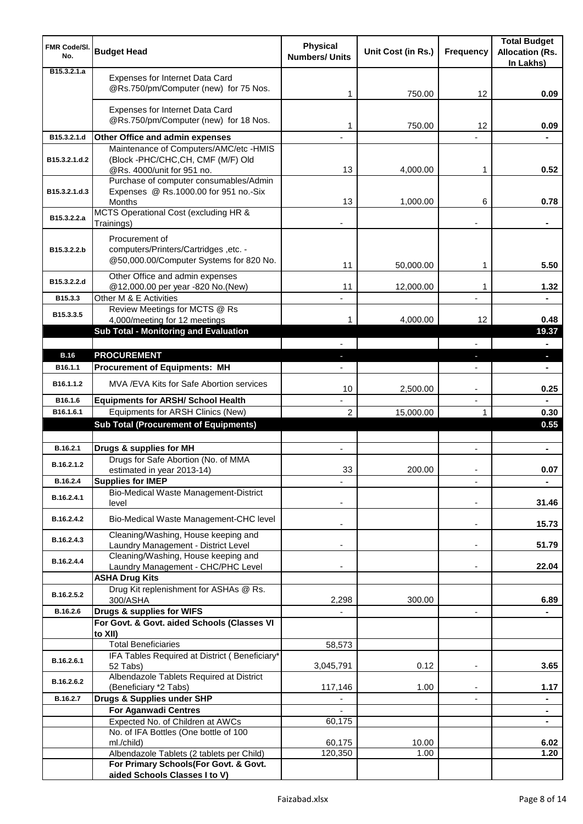| <b>FMR Code/SI.</b><br>No. | <b>Budget Head</b>                                                                                        | <b>Physical</b><br><b>Numbers/ Units</b> | Unit Cost (in Rs.) | Frequency                | <b>Total Budget</b><br><b>Allocation (Rs.</b><br>In Lakhs) |
|----------------------------|-----------------------------------------------------------------------------------------------------------|------------------------------------------|--------------------|--------------------------|------------------------------------------------------------|
| B15.3.2.1.a                | Expenses for Internet Data Card<br>@Rs.750/pm/Computer (new) for 75 Nos.                                  | 1                                        | 750.00             | 12                       | 0.09                                                       |
|                            | Expenses for Internet Data Card<br>@Rs.750/pm/Computer (new) for 18 Nos.                                  | 1                                        | 750.00             | 12                       | 0.09                                                       |
| B15.3.2.1.d                | Other Office and admin expenses                                                                           |                                          |                    |                          |                                                            |
| B15.3.2.1.d.2              | Maintenance of Computers/AMC/etc -HMIS<br>(Block -PHC/CHC,CH, CMF (M/F) Old<br>@Rs. 4000/unit for 951 no. | 13                                       | 4,000.00           | 1                        | 0.52                                                       |
| B15.3.2.1.d.3              | Purchase of computer consumables/Admin<br>Expenses @ Rs.1000.00 for 951 no.-Six<br><b>Months</b>          | 13                                       | 1,000.00           | 6                        | 0.78                                                       |
| B15.3.2.2.a                | MCTS Operational Cost (excluding HR &<br>Trainings)                                                       |                                          |                    |                          |                                                            |
| B15.3.2.2.b                | Procurement of<br>computers/Printers/Cartridges, etc. -<br>@50,000.00/Computer Systems for 820 No.        | 11                                       | 50,000.00          | 1                        | 5.50                                                       |
| B15.3.2.2.d                | Other Office and admin expenses<br>@12,000.00 per year -820 No.(New)                                      | 11                                       | 12,000.00          | 1                        | 1.32                                                       |
| B15.3.3                    | Other M & E Activities<br>Review Meetings for MCTS @ Rs                                                   |                                          |                    | $\overline{a}$           |                                                            |
| B15.3.3.5                  | 4,000/meeting for 12 meetings<br><b>Sub Total - Monitoring and Evaluation</b>                             | 1                                        | 4,000.00           | 12                       | 0.48<br>19.37                                              |
|                            |                                                                                                           |                                          |                    |                          | $\blacksquare$                                             |
| <b>B.16</b>                | <b>PROCUREMENT</b>                                                                                        |                                          |                    | E.                       | o.                                                         |
| B16.1.1                    | <b>Procurement of Equipments: MH</b>                                                                      |                                          |                    |                          |                                                            |
| B16.1.1.2                  | MVA / EVA Kits for Safe Abortion services                                                                 | 10                                       | 2,500.00           |                          | 0.25                                                       |
| B16.1.6                    | <b>Equipments for ARSH/ School Health</b>                                                                 |                                          |                    | $\overline{a}$           |                                                            |
| B16.1.6.1                  | Equipments for ARSH Clinics (New)                                                                         | $\overline{c}$                           | 15,000.00          | 1                        | 0.30                                                       |
|                            | <b>Sub Total (Procurement of Equipments)</b>                                                              |                                          |                    |                          | 0.55                                                       |
| B.16.2.1                   | Drugs & supplies for MH                                                                                   | $\blacksquare$                           |                    | $\blacksquare$           | $\blacksquare$                                             |
| B.16.2.1.2                 | Drugs for Safe Abortion (No. of MMA<br>estimated in year 2013-14)                                         | 33                                       | 200.00             |                          | 0.07                                                       |
| B.16.2.4                   | <b>Supplies for IMEP</b>                                                                                  |                                          |                    |                          | ۰                                                          |
| B.16.2.4.1                 | Bio-Medical Waste Management-District<br>level                                                            |                                          |                    |                          | 31.46                                                      |
| B.16.2.4.2                 | Bio-Medical Waste Management-CHC level                                                                    |                                          |                    | ۰                        | 15.73                                                      |
| B.16.2.4.3                 | Cleaning/Washing, House keeping and<br>Laundry Management - District Level                                |                                          |                    |                          | 51.79                                                      |
| B.16.2.4.4                 | Cleaning/Washing, House keeping and<br>Laundry Management - CHC/PHC Level                                 |                                          |                    | $\blacksquare$           | 22.04                                                      |
|                            | <b>ASHA Drug Kits</b><br>Drug Kit replenishment for ASHAs @ Rs.                                           |                                          |                    |                          |                                                            |
| B.16.2.5.2                 | 300/ASHA                                                                                                  | 2,298                                    | 300.00             |                          | 6.89                                                       |
| B.16.2.6                   | Drugs & supplies for WIFS                                                                                 |                                          |                    | $\overline{\phantom{a}}$ |                                                            |
|                            | For Govt. & Govt. aided Schools (Classes VI<br>to XII)                                                    |                                          |                    |                          |                                                            |
|                            | <b>Total Beneficiaries</b>                                                                                | 58,573                                   |                    |                          |                                                            |
| B.16.2.6.1                 | IFA Tables Required at District (Beneficiary*<br>52 Tabs)                                                 | 3,045,791                                | 0.12               | $\blacksquare$           | 3.65                                                       |
| B.16.2.6.2                 | Albendazole Tablets Required at District<br>(Beneficiary *2 Tabs)                                         | 117,146                                  | 1.00               |                          | 1.17                                                       |
| B.16.2.7                   | Drugs & Supplies under SHP                                                                                |                                          |                    |                          | ۰                                                          |
|                            | <b>For Aganwadi Centres</b>                                                                               | 60,175                                   |                    |                          | $\blacksquare$                                             |
|                            | Expected No. of Children at AWCs<br>No. of IFA Bottles (One bottle of 100                                 |                                          |                    |                          |                                                            |
|                            | ml./child)                                                                                                | 60,175                                   | 10.00              |                          | 6.02                                                       |
|                            | Albendazole Tablets (2 tablets per Child)                                                                 | 120,350                                  | 1.00               |                          | 1.20                                                       |
|                            | For Primary Schools(For Govt. & Govt.<br>aided Schools Classes I to V)                                    |                                          |                    |                          |                                                            |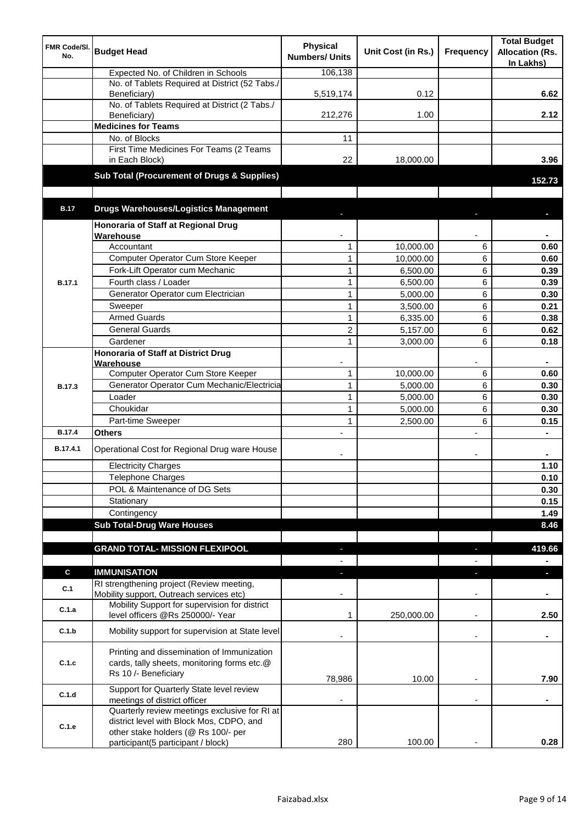| FMR Code/SI.<br>No. | <b>Budget Head</b>                                                                                                | <b>Physical</b><br><b>Numbers/ Units</b> | Unit Cost (in Rs.) | <b>Frequency</b>         | <b>Total Budget</b><br><b>Allocation (Rs.</b><br>In Lakhs) |
|---------------------|-------------------------------------------------------------------------------------------------------------------|------------------------------------------|--------------------|--------------------------|------------------------------------------------------------|
|                     | Expected No. of Children in Schools                                                                               | 106,138                                  |                    |                          |                                                            |
|                     | No. of Tablets Required at District (52 Tabs./<br>Beneficiary)                                                    | 5,519,174                                | 0.12               |                          | 6.62                                                       |
|                     | No. of Tablets Required at District (2 Tabs./<br>Beneficiary)                                                     | 212,276                                  | 1.00               |                          | 2.12                                                       |
|                     | <b>Medicines for Teams</b>                                                                                        |                                          |                    |                          |                                                            |
|                     | No. of Blocks                                                                                                     | 11                                       |                    |                          |                                                            |
|                     | First Time Medicines For Teams (2 Teams<br>in Each Block)                                                         | 22                                       | 18,000.00          |                          | 3.96                                                       |
|                     | Sub Total (Procurement of Drugs & Supplies)                                                                       |                                          |                    |                          | 152.73                                                     |
| <b>B.17</b>         | <b>Drugs Warehouses/Logistics Management</b>                                                                      |                                          |                    |                          |                                                            |
|                     | Honoraria of Staff at Regional Drug                                                                               |                                          |                    |                          |                                                            |
|                     | Warehouse                                                                                                         |                                          |                    |                          |                                                            |
|                     | Accountant                                                                                                        | 1                                        | 10,000.00          | 6                        | 0.60                                                       |
|                     | Computer Operator Cum Store Keeper                                                                                | $\mathbf{1}$                             | 10,000.00          | 6                        | 0.60                                                       |
|                     | Fork-Lift Operator cum Mechanic                                                                                   | $\mathbf{1}$                             | 6,500.00           | 6                        | 0.39                                                       |
| <b>B.17.1</b>       | Fourth class / Loader                                                                                             | $\mathbf{1}$                             | 6,500.00           | 6                        | 0.39                                                       |
|                     | Generator Operator cum Electrician                                                                                | $\mathbf{1}$                             | 5,000.00           | 6                        | 0.30                                                       |
|                     | Sweeper                                                                                                           | $\mathbf{1}$                             | 3,500.00           | 6                        | 0.21                                                       |
|                     | <b>Armed Guards</b>                                                                                               | $\mathbf{1}$                             | 6,335.00           | 6                        | 0.38                                                       |
|                     | <b>General Guards</b>                                                                                             | $\overline{c}$                           | 5,157.00           | 6                        | 0.62                                                       |
|                     | Gardener                                                                                                          | $\mathbf{1}$                             | 3,000.00           | 6                        | 0.18                                                       |
|                     | <b>Honoraria of Staff at District Drug</b>                                                                        |                                          |                    |                          |                                                            |
|                     | Warehouse                                                                                                         |                                          |                    |                          |                                                            |
|                     | Computer Operator Cum Store Keeper                                                                                | $\mathbf{1}$                             | 10,000.00          | 6                        | 0.60                                                       |
| <b>B.17.3</b>       | Generator Operator Cum Mechanic/Electricia                                                                        | $\mathbf{1}$                             | 5,000.00           | 6                        | 0.30                                                       |
|                     | Loader                                                                                                            | $\mathbf{1}$                             | 5,000.00           | 6                        | 0.30                                                       |
|                     | Choukidar                                                                                                         | $\mathbf{1}$                             | 5,000.00           | 6                        | 0.30                                                       |
|                     | Part-time Sweeper                                                                                                 | $\mathbf{1}$                             | 2,500.00           | 6                        | 0.15                                                       |
| <b>B.17.4</b>       | <b>Others</b>                                                                                                     |                                          |                    | L,                       |                                                            |
| B.17.4.1            | Operational Cost for Regional Drug ware House                                                                     |                                          |                    | ۰                        |                                                            |
|                     | <b>Electricity Charges</b>                                                                                        |                                          |                    |                          | 1.10                                                       |
|                     | Telephone Charges                                                                                                 |                                          |                    |                          | 0.10                                                       |
|                     | POL & Maintenance of DG Sets                                                                                      |                                          |                    |                          | 0.30                                                       |
|                     | Stationary                                                                                                        |                                          |                    |                          | 0.15                                                       |
|                     | Contingency                                                                                                       |                                          |                    |                          | 1.49                                                       |
|                     | <b>Sub Total-Drug Ware Houses</b>                                                                                 |                                          |                    |                          | 8.46                                                       |
|                     | <b>GRAND TOTAL- MISSION FLEXIPOOL</b>                                                                             |                                          |                    |                          | 419.66                                                     |
|                     |                                                                                                                   | P.                                       |                    |                          | $\blacksquare$                                             |
| $\mathbf c$         | <b>IMMUNISATION</b>                                                                                               |                                          |                    |                          | н                                                          |
| C.1                 | RI strengthening project (Review meeting,<br>Mobility support, Outreach services etc)                             |                                          |                    |                          |                                                            |
| C.1.a               | Mobility Support for supervision for district<br>level officers @Rs 250000/- Year                                 | 1                                        | 250,000.00         | ٠                        | 2.50                                                       |
| C.1.b               | Mobility support for supervision at State level                                                                   |                                          |                    | $\overline{\phantom{a}}$ | ٠                                                          |
| C.1.c               | Printing and dissemination of Immunization<br>cards, tally sheets, monitoring forms etc.@<br>Rs 10 /- Beneficiary | 78,986                                   | 10.00              |                          | 7.90                                                       |
| C.1.d               | Support for Quarterly State level review                                                                          |                                          |                    |                          |                                                            |
|                     | meetings of district officer                                                                                      |                                          |                    |                          |                                                            |
| C.1.e               | Quarterly review meetings exclusive for RI at<br>district level with Block Mos, CDPO, and                         |                                          |                    |                          |                                                            |
|                     | other stake holders (@ Rs 100/- per                                                                               |                                          |                    |                          |                                                            |
|                     | participant(5 participant / block)                                                                                | 280                                      | 100.00             |                          | 0.28                                                       |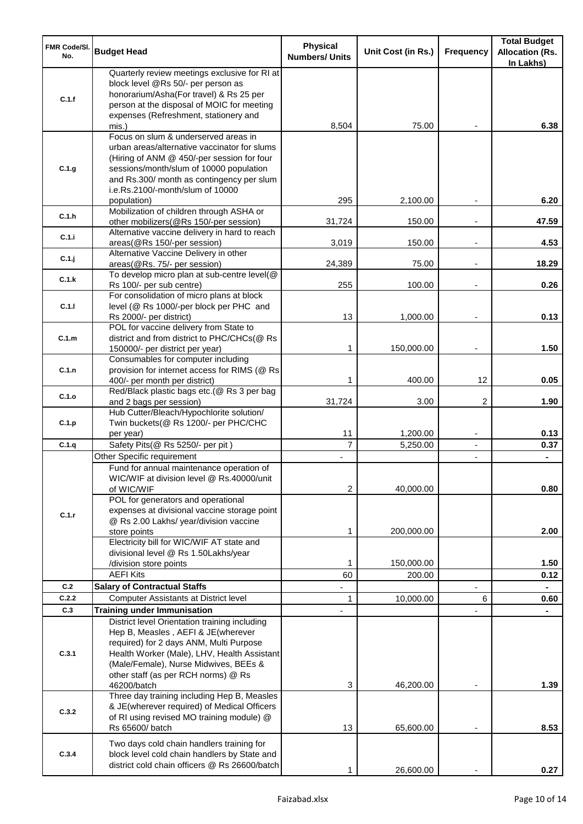| <b>FMR Code/SI.</b><br>No. | <b>Budget Head</b>                                                                                                                                                                                                                                             | <b>Physical</b><br><b>Numbers/ Units</b> | Unit Cost (in Rs.)      | Frequency                        | <b>Total Budget</b><br><b>Allocation (Rs.</b><br>In Lakhs) |
|----------------------------|----------------------------------------------------------------------------------------------------------------------------------------------------------------------------------------------------------------------------------------------------------------|------------------------------------------|-------------------------|----------------------------------|------------------------------------------------------------|
| C.1.f                      | Quarterly review meetings exclusive for RI at<br>block level @Rs 50/- per person as<br>honorarium/Asha(For travel) & Rs 25 per<br>person at the disposal of MOIC for meeting<br>expenses (Refreshment, stationery and                                          |                                          |                         |                                  |                                                            |
|                            | mis.)                                                                                                                                                                                                                                                          | 8,504                                    | 75.00                   |                                  | 6.38                                                       |
| C.1.g                      | Focus on slum & underserved areas in<br>urban areas/alternative vaccinator for slums<br>(Hiring of ANM @ 450/-per session for four<br>sessions/month/slum of 10000 population<br>and Rs.300/ month as contingency per slum<br>i.e.Rs.2100/-month/slum of 10000 | 295                                      |                         |                                  | 6.20                                                       |
| C.1.h                      | population)<br>Mobilization of children through ASHA or                                                                                                                                                                                                        | 31,724                                   | 2,100.00<br>150.00      |                                  | 47.59                                                      |
| C.1.i                      | other mobilizers(@Rs 150/-per session)<br>Alternative vaccine delivery in hard to reach<br>areas(@Rs 150/-per session)                                                                                                                                         | 3,019                                    | 150.00                  | $\overline{\phantom{a}}$         | 4.53                                                       |
| C.1.j                      | Alternative Vaccine Delivery in other<br>areas(@Rs. 75/- per session)                                                                                                                                                                                          | 24,389                                   | 75.00                   | $\overline{\phantom{a}}$         | 18.29                                                      |
|                            | To develop micro plan at sub-centre level(@                                                                                                                                                                                                                    |                                          |                         |                                  |                                                            |
| C.1.k                      | Rs 100/- per sub centre)                                                                                                                                                                                                                                       | 255                                      | 100.00                  |                                  | 0.26                                                       |
| C.1.1                      | For consolidation of micro plans at block<br>level (@ Rs 1000/-per block per PHC and                                                                                                                                                                           |                                          |                         |                                  |                                                            |
|                            | Rs 2000/- per district)<br>POL for vaccine delivery from State to                                                                                                                                                                                              | 13                                       | 1,000.00                |                                  | 0.13                                                       |
| C.1.m                      | district and from district to PHC/CHCs(@ Rs<br>150000/- per district per year)                                                                                                                                                                                 | 1                                        | 150,000.00              | $\overline{\phantom{a}}$         | 1.50                                                       |
| C.1.n                      | Consumables for computer including<br>provision for internet access for RIMS (@ Rs                                                                                                                                                                             | 1                                        | 400.00                  | 12                               | 0.05                                                       |
| C.1.o                      | 400/- per month per district)<br>Red/Black plastic bags etc.(@ Rs 3 per bag                                                                                                                                                                                    |                                          |                         | 2                                | 1.90                                                       |
| C.1.p                      | and 2 bags per session)<br>Hub Cutter/Bleach/Hypochlorite solution/<br>Twin buckets(@ Rs 1200/- per PHC/CHC                                                                                                                                                    | 31,724                                   | 3.00                    |                                  |                                                            |
|                            | per year)                                                                                                                                                                                                                                                      | 11<br>$\overline{7}$                     | 1,200.00                | $\overline{\phantom{a}}$         | 0.13                                                       |
| C.1.q                      | Safety Pits(@ Rs 5250/- per pit)<br>Other Specific requirement                                                                                                                                                                                                 |                                          | 5,250.00                | $\blacksquare$<br>$\blacksquare$ | 0.37                                                       |
|                            | Fund for annual maintenance operation of<br>WIC/WIF at division level @ Rs.40000/unit                                                                                                                                                                          |                                          |                         |                                  |                                                            |
| C.1.r                      | of WIC/WIF<br>POL for generators and operational<br>expenses at divisional vaccine storage point<br>@ Rs 2.00 Lakhs/ year/division vaccine<br>store points                                                                                                     | 2<br>1                                   | 40,000.00<br>200,000.00 |                                  | 0.80<br>2.00                                               |
|                            | Electricity bill for WIC/WIF AT state and<br>divisional level @ Rs 1.50Lakhs/year                                                                                                                                                                              |                                          |                         |                                  |                                                            |
|                            | /division store points                                                                                                                                                                                                                                         | 1                                        | 150,000.00              |                                  | 1.50                                                       |
|                            | <b>AEFI Kits</b>                                                                                                                                                                                                                                               | 60                                       | 200.00                  |                                  | 0.12                                                       |
| C.2                        | <b>Salary of Contractual Staffs</b>                                                                                                                                                                                                                            |                                          |                         |                                  |                                                            |
| C.2.2                      | <b>Computer Assistants at District level</b>                                                                                                                                                                                                                   | 1                                        | 10,000.00               | 6                                | 0.60                                                       |
| C.3                        | <b>Training under Immunisation</b><br>District level Orientation training including                                                                                                                                                                            |                                          |                         |                                  |                                                            |
| C.3.1                      | Hep B, Measles, AEFI & JE(wherever<br>required) for 2 days ANM, Multi Purpose<br>Health Worker (Male), LHV, Health Assistant<br>(Male/Female), Nurse Midwives, BEEs &<br>other staff (as per RCH norms) @ Rs<br>46200/batch                                    | 3                                        | 46,200.00               |                                  | 1.39                                                       |
| C.3.2                      | Three day training including Hep B, Measles<br>& JE(wherever required) of Medical Officers<br>of RI using revised MO training module) @<br>Rs 65600/ batch                                                                                                     | 13                                       | 65,600.00               |                                  | 8.53                                                       |
| C.3.4                      | Two days cold chain handlers training for<br>block level cold chain handlers by State and<br>district cold chain officers @ Rs 26600/batch                                                                                                                     | 1                                        | 26,600.00               |                                  | 0.27                                                       |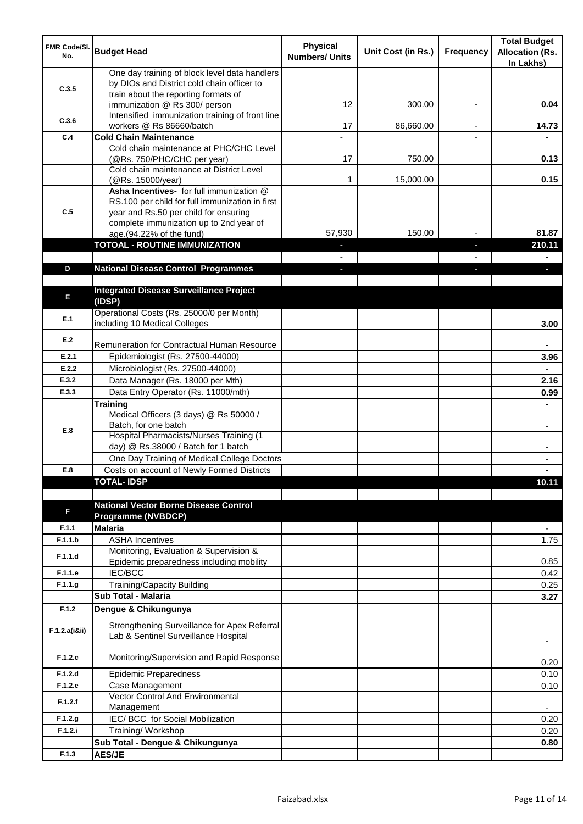| <b>FMR Code/SI.</b><br>No. | <b>Budget Head</b>                                                                                                                                                              | <b>Physical</b><br><b>Numbers/ Units</b> | Unit Cost (in Rs.) | Frequency | <b>Total Budget</b><br><b>Allocation (Rs.</b><br>In Lakhs) |
|----------------------------|---------------------------------------------------------------------------------------------------------------------------------------------------------------------------------|------------------------------------------|--------------------|-----------|------------------------------------------------------------|
| C.3.5                      | One day training of block level data handlers<br>by DIOs and District cold chain officer to                                                                                     |                                          |                    |           |                                                            |
|                            | train about the reporting formats of<br>immunization @ Rs 300/ person                                                                                                           | 12                                       | 300.00             | ٠         | 0.04                                                       |
| C.3.6                      | Intensified immunization training of front line<br>workers @ Rs 86660/batch                                                                                                     | 17                                       | 86,660.00          |           | 14.73                                                      |
| C.4                        | <b>Cold Chain Maintenance</b>                                                                                                                                                   |                                          |                    |           |                                                            |
|                            | Cold chain maintenance at PHC/CHC Level<br>(@Rs. 750/PHC/CHC per year)                                                                                                          | 17                                       | 750.00             |           | 0.13                                                       |
|                            | Cold chain maintenance at District Level<br>(@Rs. 15000/year)                                                                                                                   | 1                                        | 15,000.00          |           | 0.15                                                       |
| C.5                        | Asha Incentives- for full immunization @<br>RS.100 per child for full immunization in first<br>year and Rs.50 per child for ensuring<br>complete immunization up to 2nd year of |                                          |                    |           |                                                            |
|                            | age.(94.22% of the fund)                                                                                                                                                        | 57,930                                   | 150.00             |           | 81.87                                                      |
|                            | <b>TOTOAL - ROUTINE IMMUNIZATION</b>                                                                                                                                            |                                          |                    |           | 210.11                                                     |
|                            |                                                                                                                                                                                 |                                          |                    |           |                                                            |
| D                          | <b>National Disease Control Programmes</b>                                                                                                                                      |                                          |                    |           |                                                            |
| E                          | <b>Integrated Disease Surveillance Project</b><br>(IDSP)                                                                                                                        |                                          |                    |           |                                                            |
| E.1                        | Operational Costs (Rs. 25000/0 per Month)<br>including 10 Medical Colleges                                                                                                      |                                          |                    |           | 3.00                                                       |
| E.2                        | Remuneration for Contractual Human Resource                                                                                                                                     |                                          |                    |           |                                                            |
| E.2.1                      | Epidemiologist (Rs. 27500-44000)                                                                                                                                                |                                          |                    |           | 3.96                                                       |
| E.2.2                      | Microbiologist (Rs. 27500-44000)                                                                                                                                                |                                          |                    |           |                                                            |
| E.3.2                      | Data Manager (Rs. 18000 per Mth)                                                                                                                                                |                                          |                    |           | 2.16                                                       |
| E.3.3                      | Data Entry Operator (Rs. 11000/mth)                                                                                                                                             |                                          |                    |           | 0.99                                                       |
|                            | <b>Training</b>                                                                                                                                                                 |                                          |                    |           |                                                            |
| E.8                        | Medical Officers (3 days) @ Rs 50000 /<br>Batch, for one batch                                                                                                                  |                                          |                    |           | $\blacksquare$                                             |
|                            | Hospital Pharmacists/Nurses Training (1<br>day) @ Rs.38000 / Batch for 1 batch                                                                                                  |                                          |                    |           |                                                            |
|                            | One Day Training of Medical College Doctors                                                                                                                                     |                                          |                    |           |                                                            |
| E.8                        | Costs on account of Newly Formed Districts                                                                                                                                      |                                          |                    |           |                                                            |
|                            | <b>TOTAL-IDSP</b>                                                                                                                                                               |                                          |                    |           | 10.11                                                      |
|                            | <b>National Vector Borne Disease Control</b>                                                                                                                                    |                                          |                    |           |                                                            |
| F                          | <b>Programme (NVBDCP)</b>                                                                                                                                                       |                                          |                    |           |                                                            |
| F.1.1                      | <b>Malaria</b>                                                                                                                                                                  |                                          |                    |           | $\overline{\phantom{a}}$                                   |
| F.1.1.b                    | <b>ASHA Incentives</b>                                                                                                                                                          |                                          |                    |           | 1.75                                                       |
| F.1.1.d                    | Monitoring, Evaluation & Supervision &<br>Epidemic preparedness including mobility                                                                                              |                                          |                    |           | 0.85                                                       |
| F.1.1.e                    | IEC/BCC                                                                                                                                                                         |                                          |                    |           | 0.42                                                       |
| F.1.1.g                    | Training/Capacity Building                                                                                                                                                      |                                          |                    |           | 0.25                                                       |
|                            | <b>Sub Total - Malaria</b>                                                                                                                                                      |                                          |                    |           | 3.27                                                       |
| F.1.2                      | Dengue & Chikungunya                                                                                                                                                            |                                          |                    |           |                                                            |
| F.1.2.a(iⅈ)                | Strengthening Surveillance for Apex Referral<br>Lab & Sentinel Surveillance Hospital                                                                                            |                                          |                    |           |                                                            |
| F.1.2.c                    | Monitoring/Supervision and Rapid Response                                                                                                                                       |                                          |                    |           | 0.20                                                       |
| F.1.2.d                    | <b>Epidemic Preparedness</b>                                                                                                                                                    |                                          |                    |           | 0.10                                                       |
| F.1.2.e                    | Case Management<br>Vector Control And Environmental                                                                                                                             |                                          |                    |           | 0.10                                                       |
| F.1.2.f                    | Management                                                                                                                                                                      |                                          |                    |           | $\overline{\phantom{a}}$                                   |
| F.1.2.g                    | IEC/ BCC for Social Mobilization                                                                                                                                                |                                          |                    |           | 0.20                                                       |
| F.1.2.i                    | Training/ Workshop                                                                                                                                                              |                                          |                    |           | 0.20                                                       |
|                            | Sub Total - Dengue & Chikungunya                                                                                                                                                |                                          |                    |           | 0.80                                                       |
| F.1.3                      | <b>AES/JE</b>                                                                                                                                                                   |                                          |                    |           |                                                            |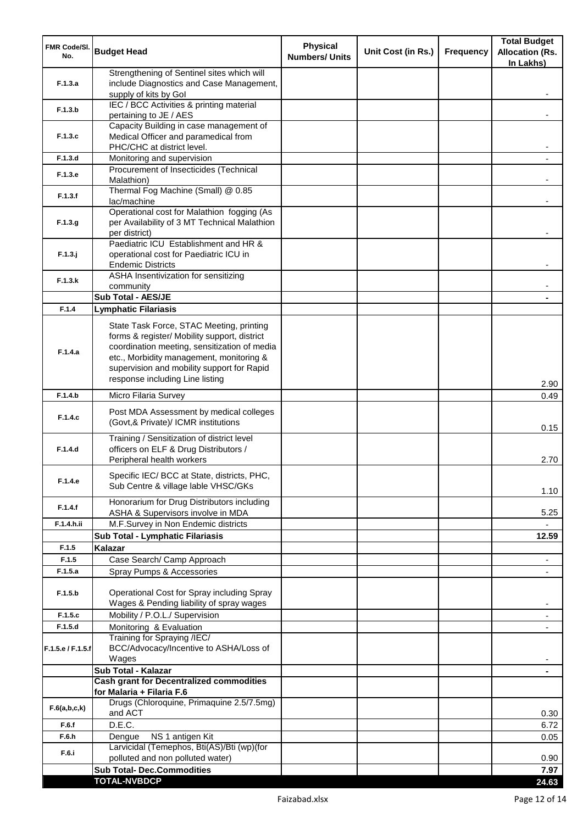| FMR Code/SI.<br>No. | <b>Budget Head</b>                                                                                                                                                                                                                                                    | <b>Physical</b><br><b>Numbers/ Units</b> | Unit Cost (in Rs.) | Frequency | <b>Total Budget</b><br><b>Allocation (Rs.</b><br>In Lakhs) |
|---------------------|-----------------------------------------------------------------------------------------------------------------------------------------------------------------------------------------------------------------------------------------------------------------------|------------------------------------------|--------------------|-----------|------------------------------------------------------------|
| F.1.3.a             | Strengthening of Sentinel sites which will<br>include Diagnostics and Case Management,<br>supply of kits by Gol                                                                                                                                                       |                                          |                    |           |                                                            |
| F.1.3.b             | IEC / BCC Activities & printing material                                                                                                                                                                                                                              |                                          |                    |           |                                                            |
|                     | pertaining to JE / AES<br>Capacity Building in case management of                                                                                                                                                                                                     |                                          |                    |           |                                                            |
| F.1.3.c             | Medical Officer and paramedical from<br>PHC/CHC at district level.                                                                                                                                                                                                    |                                          |                    |           |                                                            |
| F.1.3.d             | Monitoring and supervision                                                                                                                                                                                                                                            |                                          |                    |           |                                                            |
| F.1.3.e             | Procurement of Insecticides (Technical<br>Malathion)                                                                                                                                                                                                                  |                                          |                    |           |                                                            |
| F.1.3.f             | Thermal Fog Machine (Small) @ 0.85<br>lac/machine                                                                                                                                                                                                                     |                                          |                    |           |                                                            |
| F.1.3.g             | Operational cost for Malathion fogging (As<br>per Availability of 3 MT Technical Malathion<br>per district)                                                                                                                                                           |                                          |                    |           |                                                            |
| $F.1.3.$ j          | Paediatric ICU Establishment and HR &<br>operational cost for Paediatric ICU in<br><b>Endemic Districts</b>                                                                                                                                                           |                                          |                    |           |                                                            |
| F.1.3.k             | ASHA Insentivization for sensitizing<br>community                                                                                                                                                                                                                     |                                          |                    |           |                                                            |
|                     | Sub Total - AES/JE                                                                                                                                                                                                                                                    |                                          |                    |           |                                                            |
| F.1.4               | <b>Lymphatic Filariasis</b>                                                                                                                                                                                                                                           |                                          |                    |           |                                                            |
| F.1.4.a             | State Task Force, STAC Meeting, printing<br>forms & register/ Mobility support, district<br>coordination meeting, sensitization of media<br>etc., Morbidity management, monitoring &<br>supervision and mobility support for Rapid<br>response including Line listing |                                          |                    |           | 2.90                                                       |
| F.1.4.b             | Micro Filaria Survey                                                                                                                                                                                                                                                  |                                          |                    |           | 0.49                                                       |
| F.1.4.c             | Post MDA Assessment by medical colleges<br>(Govt,& Private)/ ICMR institutions                                                                                                                                                                                        |                                          |                    |           | 0.15                                                       |
| F.1.4.d             | Training / Sensitization of district level<br>officers on ELF & Drug Distributors /<br>Peripheral health workers                                                                                                                                                      |                                          |                    |           | 2.70                                                       |
| F.1.4.e             | Specific IEC/ BCC at State, districts, PHC,<br>Sub Centre & village lable VHSC/GKs                                                                                                                                                                                    |                                          |                    |           | 1.10                                                       |
| F.1.4.f             | Honorarium for Drug Distributors including<br>ASHA & Supervisors involve in MDA                                                                                                                                                                                       |                                          |                    |           | 5.25                                                       |
| F.1.4.h.ii          | M.F.Survey in Non Endemic districts                                                                                                                                                                                                                                   |                                          |                    |           |                                                            |
|                     | Sub Total - Lymphatic Filariasis                                                                                                                                                                                                                                      |                                          |                    |           | 12.59                                                      |
| F.1.5               | Kalazar                                                                                                                                                                                                                                                               |                                          |                    |           |                                                            |
| F.1.5<br>F.1.5.a    | Case Search/ Camp Approach<br>Spray Pumps & Accessories                                                                                                                                                                                                               |                                          |                    |           | $\overline{\phantom{a}}$<br>$\overline{\phantom{a}}$       |
| F.1.5.b             | Operational Cost for Spray including Spray<br>Wages & Pending liability of spray wages                                                                                                                                                                                |                                          |                    |           |                                                            |
| F.1.5.c             | Mobility / P.O.L./ Supervision                                                                                                                                                                                                                                        |                                          |                    |           |                                                            |
| F.1.5.d             | Monitoring & Evaluation                                                                                                                                                                                                                                               |                                          |                    |           |                                                            |
| F.1.5.e / F.1.5.f   | Training for Spraying /IEC/<br>BCC/Advocacy/Incentive to ASHA/Loss of<br>Wages                                                                                                                                                                                        |                                          |                    |           |                                                            |
|                     | Sub Total - Kalazar                                                                                                                                                                                                                                                   |                                          |                    |           | $\blacksquare$                                             |
|                     | <b>Cash grant for Decentralized commodities</b><br>for Malaria + Filaria F.6                                                                                                                                                                                          |                                          |                    |           |                                                            |
| F.6(a,b,c,k)        | Drugs (Chloroquine, Primaquine 2.5/7.5mg)<br>and ACT                                                                                                                                                                                                                  |                                          |                    |           | 0.30                                                       |
| F.6.f               | D.E.C.                                                                                                                                                                                                                                                                |                                          |                    |           | 6.72                                                       |
| F.6.h               | NS 1 antigen Kit<br>Dengue                                                                                                                                                                                                                                            |                                          |                    |           | 0.05                                                       |
| F.6.i               | Larvicidal (Temephos, Bti(AS)/Bti (wp)(for<br>polluted and non polluted water)                                                                                                                                                                                        |                                          |                    |           | 0.90                                                       |
|                     | <b>Sub Total- Dec.Commodities</b>                                                                                                                                                                                                                                     |                                          |                    |           | 7.97                                                       |
|                     | <b>TOTAL-NVBDCP</b>                                                                                                                                                                                                                                                   |                                          |                    |           | 24.63                                                      |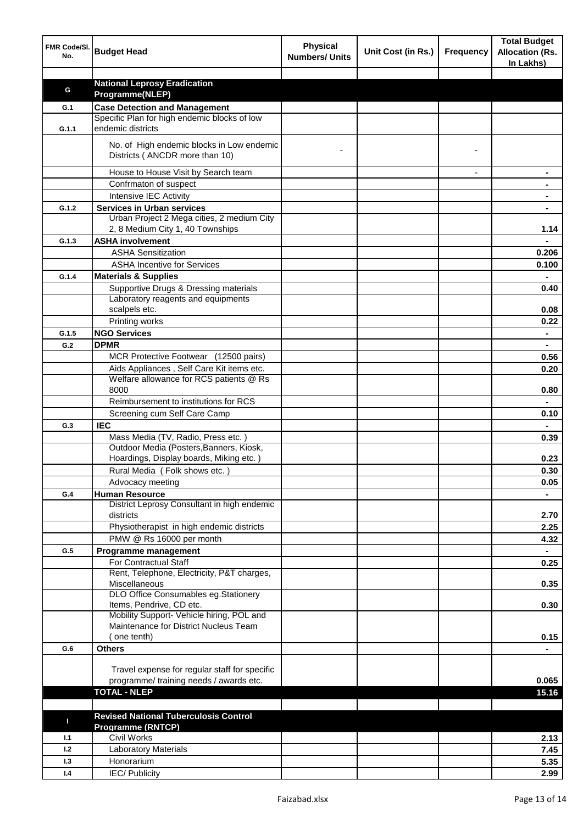| FMR Code/SI.<br>No. | <b>Budget Head</b>                                                                   | <b>Physical</b><br><b>Numbers/ Units</b> | Unit Cost (in Rs.) | <b>Frequency</b> | <b>Total Budget</b><br><b>Allocation (Rs.</b><br>In Lakhs) |
|---------------------|--------------------------------------------------------------------------------------|------------------------------------------|--------------------|------------------|------------------------------------------------------------|
|                     |                                                                                      |                                          |                    |                  |                                                            |
| G                   | <b>National Leprosy Eradication</b>                                                  |                                          |                    |                  |                                                            |
|                     | Programme(NLEP)                                                                      |                                          |                    |                  |                                                            |
| G.1                 | <b>Case Detection and Management</b><br>Specific Plan for high endemic blocks of low |                                          |                    |                  |                                                            |
| G.1.1               | endemic districts                                                                    |                                          |                    |                  |                                                            |
|                     | No. of High endemic blocks in Low endemic<br>Districts (ANCDR more than 10)          |                                          |                    |                  |                                                            |
|                     |                                                                                      |                                          |                    |                  |                                                            |
|                     | House to House Visit by Search team                                                  |                                          |                    |                  |                                                            |
|                     | Confrmaton of suspect                                                                |                                          |                    |                  |                                                            |
|                     | Intensive IEC Activity                                                               |                                          |                    |                  |                                                            |
| G.1.2               | <b>Services in Urban services</b><br>Urban Project 2 Mega cities, 2 medium City      |                                          |                    |                  |                                                            |
|                     | 2, 8 Medium City 1, 40 Townships                                                     |                                          |                    |                  | 1.14                                                       |
| G.1.3               | <b>ASHA involvement</b>                                                              |                                          |                    |                  |                                                            |
|                     | <b>ASHA Sensitization</b>                                                            |                                          |                    |                  | 0.206                                                      |
|                     | <b>ASHA Incentive for Services</b>                                                   |                                          |                    |                  | 0.100                                                      |
| G.1.4               | <b>Materials &amp; Supplies</b>                                                      |                                          |                    |                  |                                                            |
|                     | Supportive Drugs & Dressing materials                                                |                                          |                    |                  | 0.40                                                       |
|                     | Laboratory reagents and equipments                                                   |                                          |                    |                  |                                                            |
|                     | scalpels etc.                                                                        |                                          |                    |                  | 0.08                                                       |
|                     | Printing works                                                                       |                                          |                    |                  | 0.22                                                       |
| G.1.5               | <b>NGO Services</b>                                                                  |                                          |                    |                  | $\blacksquare$                                             |
| G.2                 | <b>DPMR</b>                                                                          |                                          |                    |                  | $\blacksquare$                                             |
|                     | MCR Protective Footwear (12500 pairs)                                                |                                          |                    |                  | 0.56                                                       |
|                     | Aids Appliances, Self Care Kit items etc.                                            |                                          |                    |                  | 0.20                                                       |
|                     | Welfare allowance for RCS patients @ Rs                                              |                                          |                    |                  |                                                            |
|                     | 8000                                                                                 |                                          |                    |                  | 0.80                                                       |
|                     | Reimbursement to institutions for RCS                                                |                                          |                    |                  |                                                            |
|                     | Screening cum Self Care Camp                                                         |                                          |                    |                  | 0.10                                                       |
| G.3                 | <b>IEC</b>                                                                           |                                          |                    |                  |                                                            |
|                     | Mass Media (TV, Radio, Press etc.)                                                   |                                          |                    |                  | 0.39                                                       |
|                     | Outdoor Media (Posters, Banners, Kiosk,                                              |                                          |                    |                  |                                                            |
|                     | Hoardings, Display boards, Miking etc.)                                              |                                          |                    |                  | 0.23                                                       |
|                     | Rural Media (Folk shows etc.)                                                        |                                          |                    |                  | 0.30                                                       |
|                     | Advocacy meeting                                                                     |                                          |                    |                  | 0.05                                                       |
| G.4                 | <b>Human Resource</b>                                                                |                                          |                    |                  |                                                            |
|                     | District Leprosy Consultant in high endemic<br>districts                             |                                          |                    |                  | 2.70                                                       |
|                     | Physiotherapist in high endemic districts                                            |                                          |                    |                  | 2.25                                                       |
|                     | PMW @ Rs 16000 per month                                                             |                                          |                    |                  | 4.32                                                       |
| G.5                 | Programme management                                                                 |                                          |                    |                  | $\blacksquare$                                             |
|                     | For Contractual Staff<br>Rent, Telephone, Electricity, P&T charges,                  |                                          |                    |                  | 0.25                                                       |
|                     | Miscellaneous                                                                        |                                          |                    |                  | 0.35                                                       |
|                     | DLO Office Consumables eg.Stationery                                                 |                                          |                    |                  |                                                            |
|                     | Items, Pendrive, CD etc.                                                             |                                          |                    |                  | 0.30                                                       |
|                     | Mobility Support- Vehicle hiring, POL and                                            |                                          |                    |                  |                                                            |
|                     | Maintenance for District Nucleus Team                                                |                                          |                    |                  |                                                            |
|                     | one tenth)                                                                           |                                          |                    |                  | 0.15                                                       |
| G.6                 | <b>Others</b>                                                                        |                                          |                    |                  |                                                            |
|                     |                                                                                      |                                          |                    |                  |                                                            |
|                     | Travel expense for regular staff for specific                                        |                                          |                    |                  |                                                            |
|                     | programme/ training needs / awards etc.<br><b>TOTAL - NLEP</b>                       |                                          |                    |                  | 0.065<br>15.16                                             |
|                     |                                                                                      |                                          |                    |                  |                                                            |
|                     | <b>Revised National Tuberculosis Control</b>                                         |                                          |                    |                  |                                                            |
| п                   | <b>Programme (RNTCP)</b>                                                             |                                          |                    |                  |                                                            |
| 1.1                 | <b>Civil Works</b>                                                                   |                                          |                    |                  | 2.13                                                       |
| 1.2                 | <b>Laboratory Materials</b>                                                          |                                          |                    |                  | 7.45                                                       |
| 1.3                 | Honorarium                                                                           |                                          |                    |                  | 5.35                                                       |
| 1.4                 | <b>IEC/Publicity</b>                                                                 |                                          |                    |                  | 2.99                                                       |